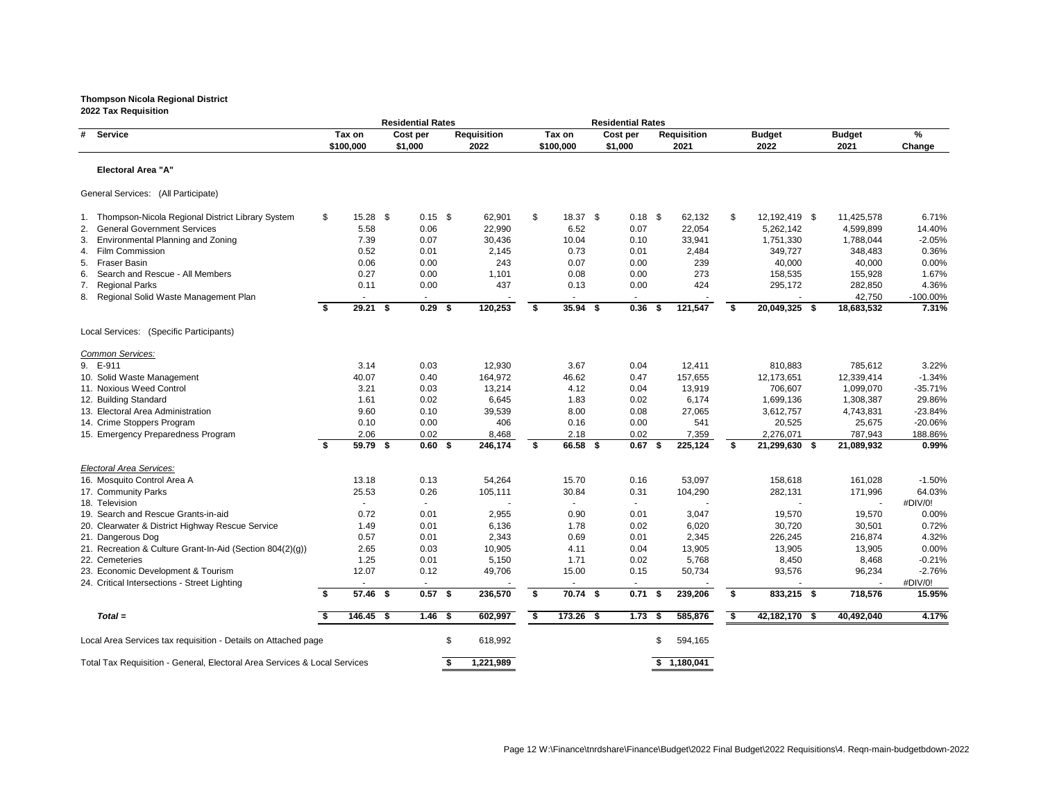|                                                                           |    |             | <b>Residential Rates</b> |           |                    |    |             |         | <b>Residential Rates</b> |                    |     |                           |               |               |                   |
|---------------------------------------------------------------------------|----|-------------|--------------------------|-----------|--------------------|----|-------------|---------|--------------------------|--------------------|-----|---------------------------|---------------|---------------|-------------------|
| <b>Service</b><br>#                                                       |    | Tax on      | Cost per                 |           | <b>Requisition</b> |    | Tax on      |         | Cost per                 | <b>Requisition</b> |     |                           | <b>Budget</b> | <b>Budget</b> | %                 |
|                                                                           |    | \$100,000   | \$1,000                  |           | 2022               |    | \$100,000   | \$1,000 |                          | 2021               |     |                           | 2022          | 2021          | Change            |
| <b>Electoral Area "A"</b>                                                 |    |             |                          |           |                    |    |             |         |                          |                    |     |                           |               |               |                   |
| General Services: (All Participate)                                       |    |             |                          |           |                    |    |             |         |                          |                    |     |                           |               |               |                   |
| 1. Thompson-Nicola Regional District Library System                       | \$ | $15.28$ \$  |                          | $0.15$ \$ | 62,901             | \$ | 18.37 \$    |         | $0.18$ \$                | 62,132             |     | $\boldsymbol{\mathsf{S}}$ | 12,192,419 \$ | 11,425,578    | 6.71%             |
| 2. General Government Services                                            |    | 5.58        | 0.06                     |           | 22,990             |    | 6.52        |         | 0.07                     | 22,054             |     |                           | 5,262,142     | 4,599,899     | 14.40%            |
| <b>Environmental Planning and Zoning</b><br>3.                            |    | 7.39        | 0.07                     |           | 30,436             |    | 10.04       |         | 0.10                     | 33,941             |     |                           | 1,751,330     | 1,788,044     | $-2.05%$          |
| <b>Film Commission</b><br>4.                                              |    | 0.52        | 0.01                     |           | 2,145              |    | 0.73        |         | 0.01                     | 2,484              |     |                           | 349,727       | 348,483       | 0.36%             |
| <b>Fraser Basin</b><br>5.                                                 |    | 0.06        | 0.00                     |           | 243                |    | 0.07        |         | 0.00                     |                    | 239 |                           | 40,000        | 40,000        | 0.00%             |
| Search and Rescue - All Members<br>6.                                     |    | 0.27        | 0.00                     |           | 1,101              |    | 0.08        |         | 0.00                     |                    | 273 |                           | 158,535       | 155,928       | 1.67%             |
| <b>Regional Parks</b><br>7.                                               |    | 0.11        | 0.00                     |           | 437                |    | 0.13        |         | 0.00                     |                    | 424 |                           | 295,172       | 282,850       | 4.36%             |
| 8. Regional Solid Waste Management Plan                                   |    | $\sim$      | $\sim$                   |           |                    |    | $\sim$      |         | $\sim$                   |                    |     |                           |               | 42,750        | -100.00%          |
|                                                                           | \$ | $29.21$ \$  |                          | $0.29$ \$ | 120,253            | \$ | $35.94$ \$  |         | 0.36                     | 121,547<br>- \$    |     | \$                        | 20,049,325 \$ | 18,683,532    | 7.31%             |
| Local Services: (Specific Participants)                                   |    |             |                          |           |                    |    |             |         |                          |                    |     |                           |               |               |                   |
| Common Services:                                                          |    |             |                          |           |                    |    |             |         |                          |                    |     |                           |               |               |                   |
| 9. E-911                                                                  |    | 3.14        | 0.03                     |           | 12,930             |    | 3.67        |         | 0.04                     | 12,411             |     |                           | 810,883       | 785,612       | 3.22%             |
| 10. Solid Waste Management                                                |    | 40.07       | 0.40                     |           | 164,972            |    | 46.62       |         | 0.47                     | 157,655            |     |                           | 12,173,651    | 12,339,414    | $-1.34%$          |
| 11. Noxious Weed Control                                                  |    | 3.21        | 0.03                     |           | 13,214             |    | 4.12        |         | 0.04                     | 13,919             |     |                           | 706,607       | 1,099,070     | $-35.71%$         |
| 12. Building Standard                                                     |    | 1.61        | 0.02                     |           | 6,645              |    | 1.83        |         | 0.02                     | 6,174              |     |                           | 1,699,136     | 1,308,387     | 29.86%            |
| 13. Electoral Area Administration                                         |    | 9.60        | 0.10                     |           | 39,539             |    | 8.00        |         | 0.08                     | 27,065             |     |                           | 3,612,757     | 4,743,831     | $-23.84%$         |
| 14. Crime Stoppers Program                                                |    | 0.10        | 0.00                     |           | 406                |    | 0.16        |         | 0.00                     |                    | 541 |                           | 20,525        | 25,675        | $-20.06%$         |
| 15. Emergency Preparedness Program                                        |    | 2.06        | 0.02                     |           | 8,468              |    | 2.18        |         | 0.02                     | 7,359              |     |                           | 2,276,071     | 787,943       | 188.86%           |
|                                                                           | \$ | 59.79 \$    |                          | $0.60$ \$ | 246,174            | \$ | 66.58 \$    |         | $0.67$ \$                | 225,124            |     | \$                        | 21,299,630 \$ | 21,089,932    | 0.99%             |
| Electoral Area Services:                                                  |    |             |                          |           |                    |    |             |         |                          |                    |     |                           |               |               |                   |
| 16. Mosquito Control Area A                                               |    | 13.18       | 0.13                     |           | 54,264             |    | 15.70       |         | 0.16                     | 53,097             |     |                           | 158,618       | 161,028       | $-1.50%$          |
| 17. Community Parks                                                       |    | 25.53       | 0.26                     |           | 105,111            |    | 30.84       |         | 0.31                     | 104,290            |     |                           | 282,131       | 171,996       | 64.03%            |
| 18. Television                                                            |    | $\sim$      |                          |           |                    |    | $\sim$      |         |                          |                    |     |                           |               |               | #DIV/0!           |
| 19. Search and Rescue Grants-in-aid                                       |    | 0.72        | 0.01                     |           | 2,955              |    | 0.90        |         | 0.01                     | 3,047              |     |                           | 19,570        | 19,570        | 0.00%             |
| 20. Clearwater & District Highway Rescue Service                          |    | 1.49        | 0.01                     |           | 6,136              |    | 1.78        |         | 0.02                     | 6,020              |     |                           | 30,720        | 30,501        | 0.72%             |
| 21. Dangerous Dog                                                         |    | 0.57        | 0.01                     |           | 2,343              |    | 0.69        |         | 0.01                     | 2,345              |     |                           | 226,245       | 216,874       | 4.32%             |
| 21. Recreation & Culture Grant-In-Aid (Section 804(2)(g))                 |    | 2.65        | 0.03                     |           | 10,905             |    | 4.11        |         | 0.04                     | 13,905             |     |                           | 13,905        | 13,905        | 0.00%             |
| 22. Cemeteries                                                            |    | 1.25        | 0.01                     |           | 5,150              |    | 1.71        |         | 0.02                     | 5,768              |     |                           | 8,450         | 8,468         | $-0.21%$          |
| 23. Economic Development & Tourism                                        |    | 12.07       |                          | 0.12      | 49,706             |    | 15.00       |         | 0.15                     | 50,734             |     |                           | 93,576        | 96,234        | $-2.76%$          |
| 24. Critical Intersections - Street Lighting                              | -S | 57.46 \$    |                          | $0.57$ \$ | 236,570            | -S | 70.74 \$    |         | $0.71$ \$                | 239,206            |     | \$                        | 833,215 \$    | 718,576       | #DIV/0!<br>15.95% |
| $Total =$                                                                 |    | $146.45$ \$ |                          | $1.46$ \$ | 602,997            | \$ | $173.26$ \$ |         | $1.73$ \$                | 585,876            |     | \$                        | 42,182,170 \$ | 40,492,040    | 4.17%             |
|                                                                           |    |             |                          |           |                    |    |             |         |                          |                    |     |                           |               |               |                   |
| Local Area Services tax requisition - Details on Attached page            |    |             |                          | \$        | 618,992            |    |             |         |                          | 594,165<br>S       |     |                           |               |               |                   |
| Total Tax Requisition - General, Electoral Area Services & Local Services |    |             |                          |           | 1,221,989          |    |             |         |                          | \$1,180,041        |     |                           |               |               |                   |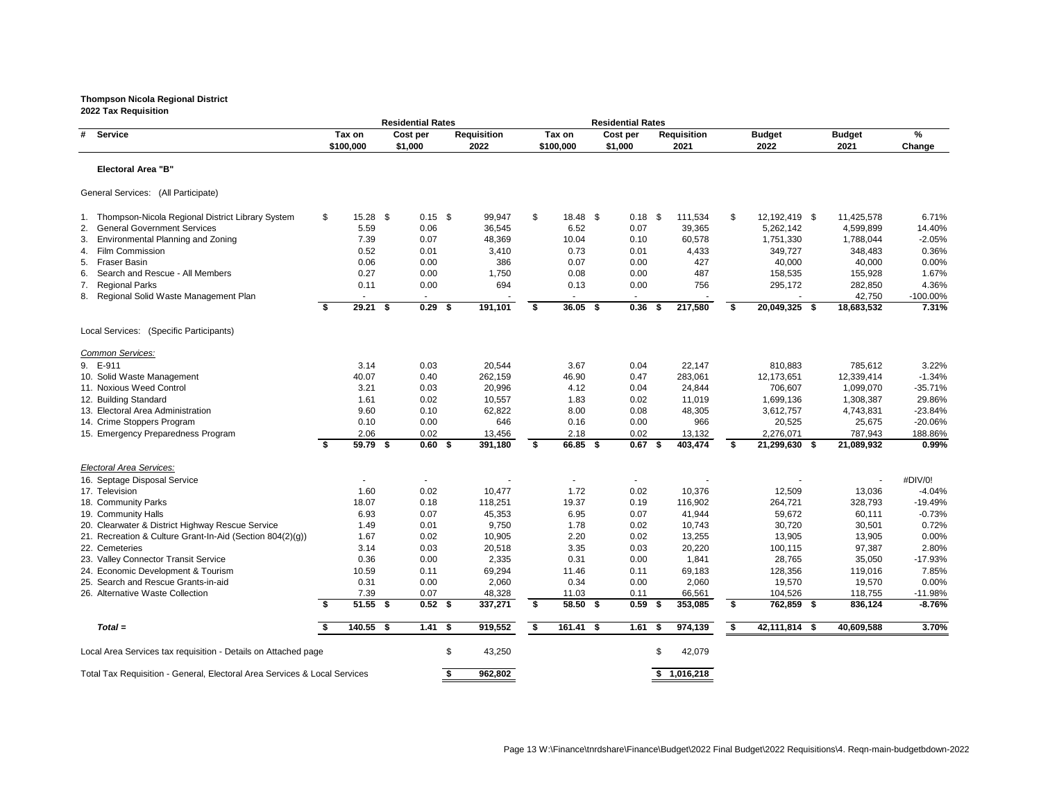# **Thompson Nicola Regional District**

|                                                                           |    |                     | <b>Residential Rates</b> |    |                            |          |                     | <b>Residential Rates</b> |     |                            |    |                       |                       |             |
|---------------------------------------------------------------------------|----|---------------------|--------------------------|----|----------------------------|----------|---------------------|--------------------------|-----|----------------------------|----|-----------------------|-----------------------|-------------|
| # Service                                                                 |    | Tax on<br>\$100,000 | Cost per<br>\$1,000      |    | <b>Requisition</b><br>2022 |          | Tax on<br>\$100,000 | Cost per<br>\$1,000      |     | <b>Requisition</b><br>2021 |    | <b>Budget</b><br>2022 | <b>Budget</b><br>2021 | %<br>Change |
| <b>Electoral Area "B"</b>                                                 |    |                     |                          |    |                            |          |                     |                          |     |                            |    |                       |                       |             |
|                                                                           |    |                     |                          |    |                            |          |                     |                          |     |                            |    |                       |                       |             |
| General Services: (All Participate)                                       |    |                     |                          |    |                            |          |                     |                          |     |                            |    |                       |                       |             |
| Thompson-Nicola Regional District Library System<br>1.                    | \$ | $15.28$ \$          | $0.15$ \$                |    | 99,947                     | \$       | $18.48$ \$          | $0.18$ \$                |     | 111,534                    | \$ | 12,192,419 \$         | 11,425,578            | 6.71%       |
| 2. General Government Services                                            |    | 5.59                | 0.06                     |    | 36,545                     |          | 6.52                | 0.07                     |     | 39,365                     |    | 5,262,142             | 4,599,899             | 14.40%      |
| <b>Environmental Planning and Zoning</b><br>3.                            |    | 7.39                | 0.07                     |    | 48,369                     |          | 10.04               | 0.10                     |     | 60,578                     |    | 1,751,330             | 1,788,044             | $-2.05%$    |
| 4. Film Commission                                                        |    | 0.52                | 0.01                     |    | 3,410                      |          | 0.73                | 0.01                     |     | 4,433                      |    | 349,727               | 348,483               | 0.36%       |
| Fraser Basin<br>5.                                                        |    | 0.06                | 0.00                     |    | 386                        |          | 0.07                | 0.00                     |     | 427                        |    | 40,000                | 40,000                | 0.00%       |
| Search and Rescue - All Members<br>6.                                     |    | 0.27                | 0.00                     |    | 1,750                      |          | 0.08                | 0.00                     |     | 487                        |    | 158,535               | 155,928               | 1.67%       |
| <b>Regional Parks</b><br>7.                                               |    | 0.11                | 0.00                     |    | 694                        |          | 0.13                | 0.00                     |     | 756                        |    | 295,172               | 282,850               | 4.36%       |
| 8. Regional Solid Waste Management Plan                                   |    |                     |                          |    |                            |          |                     |                          |     |                            |    |                       | 42,750                | $-100.00\%$ |
|                                                                           | \$ | $29.21$ \$          | $0.29$ \$                |    | 191,101                    | S.       | $36.05$ \$          | 0.36                     | - 5 | 217,580                    | -S | 20,049,325 \$         | 18,683,532            | 7.31%       |
| Local Services: (Specific Participants)                                   |    |                     |                          |    |                            |          |                     |                          |     |                            |    |                       |                       |             |
| Common Services:                                                          |    |                     |                          |    |                            |          |                     |                          |     |                            |    |                       |                       |             |
| 9. E-911                                                                  |    | 3.14                | 0.03                     |    | 20,544                     |          | 3.67                | 0.04                     |     | 22,147                     |    | 810,883               | 785,612               | 3.22%       |
| 10. Solid Waste Management                                                |    | 40.07               | 0.40                     |    | 262,159                    |          | 46.90               | 0.47                     |     | 283,061                    |    | 12,173,651            | 12,339,414            | $-1.34%$    |
| 11. Noxious Weed Control                                                  |    | 3.21                | 0.03                     |    | 20,996                     |          | 4.12                | 0.04                     |     | 24,844                     |    | 706,607               | 1,099,070             | $-35.71%$   |
| 12. Building Standard                                                     |    | 1.61                | 0.02                     |    | 10,557                     |          | 1.83                | 0.02                     |     | 11,019                     |    | 1,699,136             | 1,308,387             | 29.86%      |
| 13. Electoral Area Administration                                         |    | 9.60                | 0.10                     |    | 62,822                     |          | 8.00                | 0.08                     |     | 48,305                     |    | 3,612,757             | 4,743,831             | $-23.84%$   |
| 14. Crime Stoppers Program                                                |    | 0.10                | 0.00                     |    | 646                        |          | 0.16                | 0.00                     |     | 966                        |    | 20,525                | 25,675                | $-20.06%$   |
| 15. Emergency Preparedness Program                                        |    | 2.06                | 0.02                     |    | 13,456                     |          | 2.18                | 0.02                     |     | 13,132                     |    | 2,276,071             | 787,943               | 188.86%     |
|                                                                           | \$ | 59.79 \$            | 0.60%                    |    | 391,180                    | \$       | 66.85 \$            | $0.67$ \$                |     | 403,474                    | \$ | 21,299,630 \$         | 21,089,932            | 0.99%       |
| <b>Electoral Area Services:</b>                                           |    |                     |                          |    |                            |          |                     |                          |     |                            |    |                       |                       |             |
| 16. Septage Disposal Service                                              |    |                     |                          |    |                            |          |                     |                          |     |                            |    |                       |                       | #DIV/0!     |
| 17. Television                                                            |    | 1.60                | 0.02                     |    | 10,477                     |          | 1.72                | 0.02                     |     | 10,376                     |    | 12,509                | 13,036                | $-4.04%$    |
| 18. Community Parks                                                       |    | 18.07               | 0.18                     |    | 118,251                    |          | 19.37               | 0.19                     |     | 116,902                    |    | 264,721               | 328,793               | $-19.49%$   |
| 19. Community Halls                                                       |    | 6.93                | 0.07                     |    | 45,353                     |          | 6.95                | 0.07                     |     | 41,944                     |    | 59,672                | 60,111                | $-0.73%$    |
| 20. Clearwater & District Highway Rescue Service                          |    | 1.49                | 0.01                     |    | 9,750                      |          | 1.78                | 0.02                     |     | 10,743                     |    | 30,720                | 30,501                | 0.72%       |
| 21. Recreation & Culture Grant-In-Aid (Section 804(2)(g))                 |    | 1.67                | 0.02                     |    | 10,905                     |          | 2.20                | 0.02                     |     | 13,255                     |    | 13,905                | 13,905                | 0.00%       |
| 22. Cemeteries                                                            |    | 3.14                | 0.03                     |    | 20,518                     |          | 3.35                | 0.03                     |     | 20,220                     |    | 100,115               | 97,387                | 2.80%       |
| 23. Valley Connector Transit Service                                      |    | 0.36                | 0.00                     |    | 2,335                      |          | 0.31                | 0.00                     |     | 1,841                      |    | 28,765                | 35,050                | $-17.93%$   |
| 24. Economic Development & Tourism                                        |    | 10.59               | 0.11                     |    | 69,294                     |          | 11.46               | 0.11                     |     | 69,183                     |    | 128,356               | 119,016               | 7.85%       |
| 25. Search and Rescue Grants-in-aid                                       |    | 0.31                | 0.00                     |    | 2,060                      |          | 0.34                | 0.00                     |     | 2,060                      |    | 19,570                | 19,570                | 0.00%       |
| 26. Alternative Waste Collection                                          |    | 7.39                | 0.07                     |    | 48,328                     |          | 11.03               | 0.11                     |     | 66,561                     |    | 104,526               | 118,755               | $-11.98%$   |
|                                                                           | -S | $51.55$ \$          | $0.52$ \$                |    | 337,271                    | \$       | 58.50 \$            | $0.59$ \$                |     | 353,085                    | \$ | 762,859 \$            | 836,124               | $-8.76%$    |
| $Total =$                                                                 |    | 140.55 \$           | $1.41$ \$                |    | 919,552                    | <b>S</b> | 161.41 \$           | 1.61                     |     | 974,139                    | \$ | 42,111,814 \$         | 40,609,588            | 3.70%       |
| Local Area Services tax requisition - Details on Attached page            |    |                     |                          | \$ | 43,250                     |          |                     |                          |     | 42,079                     |    |                       |                       |             |
| Total Tax Requisition - General, Electoral Area Services & Local Services |    |                     |                          | S. | 962,802                    |          |                     |                          |     | \$1,016,218                |    |                       |                       |             |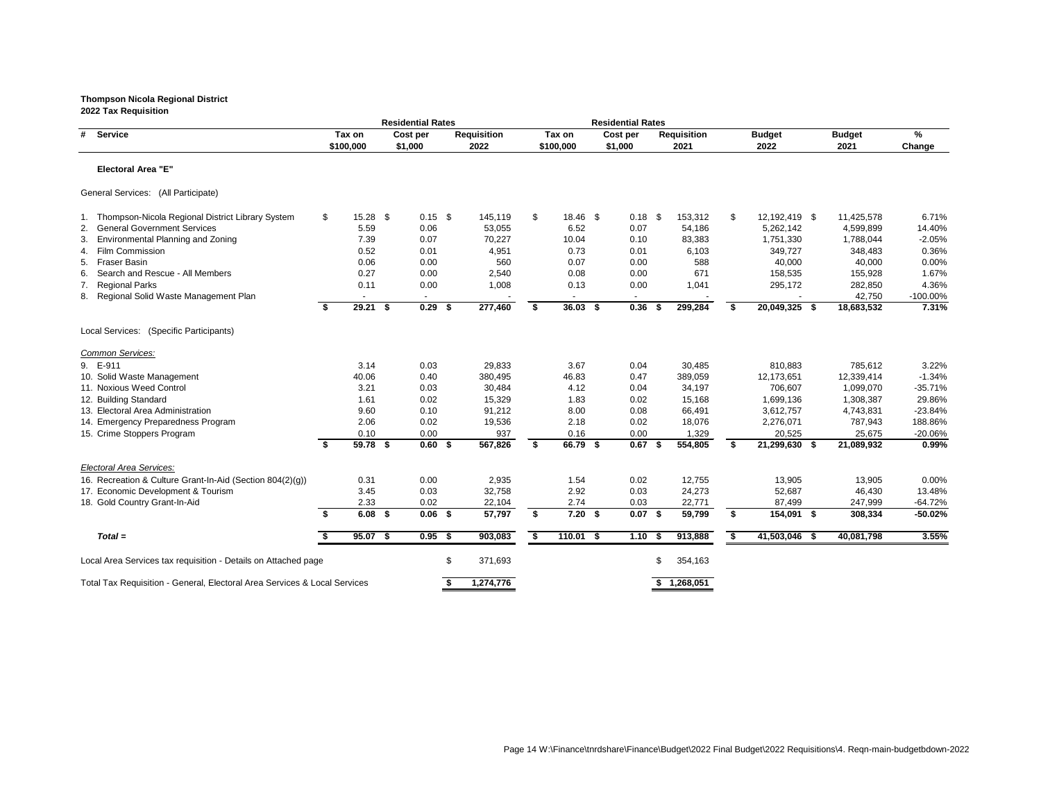|                                                                           |                  | <b>Residential Rates</b> |                    |                |             | <b>Residential Rates</b> |      |                    |      |               |               |           |
|---------------------------------------------------------------------------|------------------|--------------------------|--------------------|----------------|-------------|--------------------------|------|--------------------|------|---------------|---------------|-----------|
| # Service                                                                 | Tax on           | Cost per                 | <b>Requisition</b> |                | Tax on      | Cost per                 |      | <b>Requisition</b> |      | <b>Budget</b> | <b>Budget</b> | %         |
|                                                                           | \$100,000        | \$1,000                  | 2022               |                | \$100,000   | \$1,000                  |      | 2021               |      | 2022          | 2021          | Change    |
| <b>Electoral Area "E"</b>                                                 |                  |                          |                    |                |             |                          |      |                    |      |               |               |           |
| General Services: (All Participate)                                       |                  |                          |                    |                |             |                          |      |                    |      |               |               |           |
| 1. Thompson-Nicola Regional District Library System                       | \$<br>$15.28$ \$ | $0.15$ \$                | 145,119            | $\mathfrak{S}$ | $18.46$ \$  | $0.18$ \$                |      | 153,312            | \$   | 12,192,419 \$ | 11,425,578    | 6.71%     |
| 2. General Government Services                                            | 5.59             | 0.06                     | 53,055             |                | 6.52        | 0.07                     |      | 54,186             |      | 5,262,142     | 4,599,899     | 14.40%    |
| <b>Environmental Planning and Zoning</b><br>3.                            | 7.39             | 0.07                     | 70,227             |                | 10.04       | 0.10                     |      | 83,383             |      | 1,751,330     | 1,788,044     | $-2.05%$  |
| <b>Film Commission</b><br>4.                                              | 0.52             | 0.01                     | 4,951              |                | 0.73        | 0.01                     |      | 6,103              |      | 349,727       | 348,483       | 0.36%     |
| <b>Fraser Basin</b><br>5.                                                 | 0.06             | 0.00                     | 560                |                | 0.07        | 0.00                     |      | 588                |      | 40,000        | 40,000        | 0.00%     |
| Search and Rescue - All Members<br>6.                                     | 0.27             | 0.00                     | 2,540              |                | 0.08        | 0.00                     |      | 671                |      | 158,535       | 155,928       | 1.67%     |
| <b>Regional Parks</b><br>7.                                               | 0.11             | 0.00                     | 1,008              |                | 0.13        | 0.00                     |      | 1,041              |      | 295,172       | 282,850       | 4.36%     |
| 8. Regional Solid Waste Management Plan                                   | $\sim$           | $\sim$                   |                    |                | $\sim$      | $\sim$                   |      |                    |      |               | 42,750        | -100.00%  |
|                                                                           | \$<br>$29.21$ \$ | $0.29$ \$                | 277,460            | \$             | $36.03$ \$  | 0.36                     | - \$ | 299,284            | \$   | 20,049,325 \$ | 18,683,532    | 7.31%     |
| Local Services: (Specific Participants)                                   |                  |                          |                    |                |             |                          |      |                    |      |               |               |           |
| Common Services:                                                          |                  |                          |                    |                |             |                          |      |                    |      |               |               |           |
| 9. E-911                                                                  | 3.14             | 0.03                     | 29,833             |                | 3.67        | 0.04                     |      | 30,485             |      | 810,883       | 785,612       | 3.22%     |
| 10. Solid Waste Management                                                | 40.06            | 0.40                     | 380,495            |                | 46.83       | 0.47                     |      | 389,059            |      | 12,173,651    | 12,339,414    | $-1.34%$  |
| 11. Noxious Weed Control                                                  | 3.21             | 0.03                     | 30,484             |                | 4.12        | 0.04                     |      | 34,197             |      | 706,607       | 1,099,070     | $-35.71%$ |
| 12. Building Standard                                                     | 1.61             | 0.02                     | 15,329             |                | 1.83        | 0.02                     |      | 15,168             |      | 1,699,136     | 1,308,387     | 29.86%    |
| 13. Electoral Area Administration                                         | 9.60             | 0.10                     | 91,212             |                | 8.00        | 0.08                     |      | 66,491             |      | 3,612,757     | 4,743,831     | $-23.84%$ |
| 14. Emergency Preparedness Program                                        | 2.06             | 0.02                     | 19,536             |                | 2.18        | 0.02                     |      | 18,076             |      | 2,276,071     | 787,943       | 188.86%   |
| 15. Crime Stoppers Program                                                | 0.10             | 0.00                     | 937                |                | 0.16        | 0.00                     |      | 1,329              |      | 20,525        | 25,675        | $-20.06%$ |
|                                                                           | \$<br>59.78 \$   | $0.60$ \$                | 567,826            | \$             | 66.79 \$    | $0.67$ \$                |      | 554,805            | \$   | 21,299,630 \$ | 21,089,932    | 0.99%     |
| Electoral Area Services:                                                  |                  |                          |                    |                |             |                          |      |                    |      |               |               |           |
| 16. Recreation & Culture Grant-In-Aid (Section 804(2)(g))                 | 0.31             | 0.00                     | 2,935              |                | 1.54        | 0.02                     |      | 12,755             |      | 13,905        | 13,905        | 0.00%     |
| 17. Economic Development & Tourism                                        | 3.45             | 0.03                     | 32,758             |                | 2.92        | 0.03                     |      | 24,273             |      | 52,687        | 46,430        | 13.48%    |
| 18. Gold Country Grant-In-Aid                                             | 2.33             | 0.02                     | 22,104             |                | 2.74        | 0.03                     |      | 22,771             |      | 87,499        | 247,999       | $-64.72%$ |
|                                                                           | \$<br>$6.08$ \$  | $0.06$ \$                | 57,797             | S              | $7.20$ \$   | $0.07$ \$                |      | 59,799             | S    | 154,091 \$    | 308,334       | $-50.02%$ |
| $Total =$                                                                 | $95.07$ \$       | $0.95$ \$                | 903,083            | \$             | $110.01$ \$ | $1.10$ \$                |      | 913,888            | - \$ | 41,503,046 \$ | 40,081,798    | 3.55%     |
| Local Area Services tax requisition - Details on Attached page            |                  |                          | \$<br>371,693      |                |             |                          | S    | 354,163            |      |               |               |           |
| Total Tax Requisition - General, Electoral Area Services & Local Services |                  |                          | 1,274,776          |                |             |                          |      | \$1,268,051        |      |               |               |           |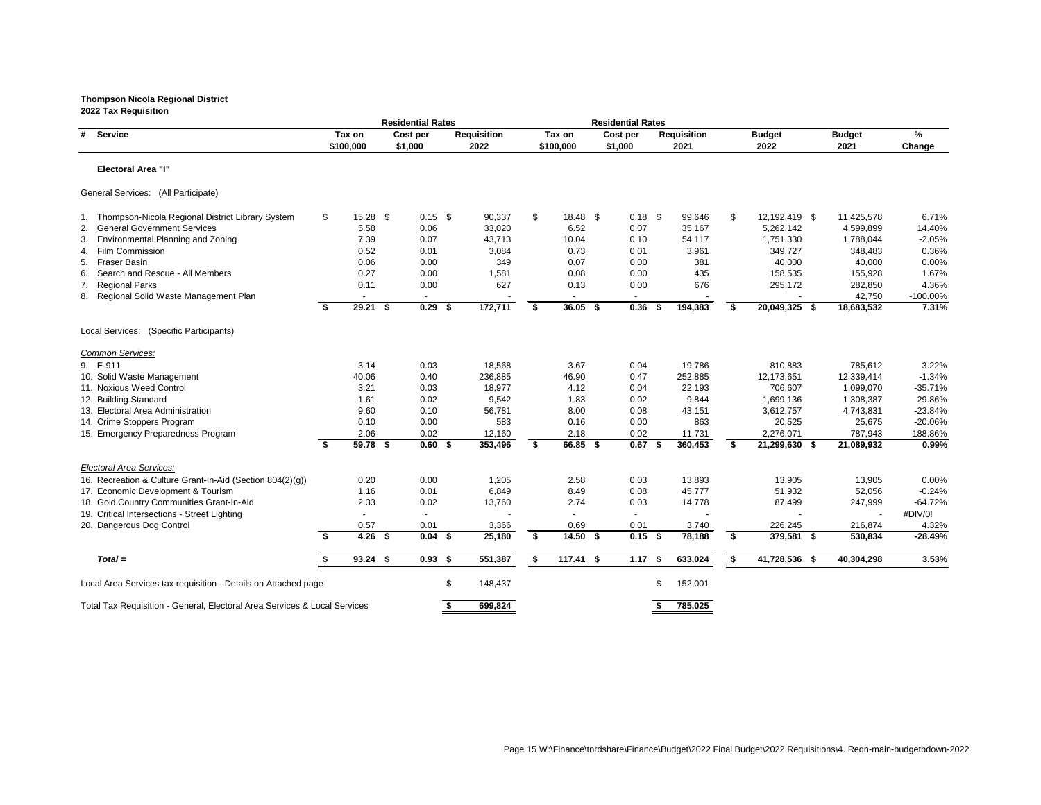|                                                                           |                  | <b>Residential Rates</b> |                    |                           |             | <b>Residential Rates</b> |   |                    |                           |               |               |             |
|---------------------------------------------------------------------------|------------------|--------------------------|--------------------|---------------------------|-------------|--------------------------|---|--------------------|---------------------------|---------------|---------------|-------------|
| #<br><b>Service</b>                                                       | Tax on           | Cost per                 | <b>Requisition</b> |                           | Tax on      | Cost per                 |   | <b>Requisition</b> |                           | <b>Budget</b> | <b>Budget</b> | %           |
|                                                                           | \$100,000        | \$1,000                  | 2022               |                           | \$100,000   | \$1,000                  |   | 2021               |                           | 2022          | 2021          | Change      |
| <b>Electoral Area "I"</b>                                                 |                  |                          |                    |                           |             |                          |   |                    |                           |               |               |             |
| General Services: (All Participate)                                       |                  |                          |                    |                           |             |                          |   |                    |                           |               |               |             |
| 1. Thompson-Nicola Regional District Library System                       | \$<br>$15.28$ \$ | $0.15$ \$                | 90,337             | $\boldsymbol{\mathsf{S}}$ | $18.48$ \$  | $0.18$ \$                |   | 99,646             | $\boldsymbol{\mathsf{S}}$ | 12,192,419 \$ | 11,425,578    | 6.71%       |
| <b>General Government Services</b><br>2.                                  | 5.58             | 0.06                     | 33,020             |                           | 6.52        | 0.07                     |   | 35,167             |                           | 5,262,142     | 4,599,899     | 14.40%      |
| <b>Environmental Planning and Zoning</b><br>3.                            | 7.39             | 0.07                     | 43,713             |                           | 10.04       | 0.10                     |   | 54,117             |                           | 1,751,330     | 1,788,044     | $-2.05%$    |
| <b>Film Commission</b><br>4.                                              | 0.52             | 0.01                     | 3,084              |                           | 0.73        | 0.01                     |   | 3,961              |                           | 349,727       | 348,483       | 0.36%       |
| <b>Fraser Basin</b><br>5.                                                 | 0.06             | 0.00                     | 349                |                           | 0.07        | 0.00                     |   | 381                |                           | 40,000        | 40,000        | 0.00%       |
| Search and Rescue - All Members<br>6.                                     | 0.27             | 0.00                     | 1,581              |                           | 0.08        | 0.00                     |   | 435                |                           | 158,535       | 155,928       | 1.67%       |
| <b>Regional Parks</b><br>7.                                               | 0.11             | 0.00                     | 627                |                           | 0.13        | 0.00                     |   | 676                |                           | 295,172       | 282,850       | 4.36%       |
| 8. Regional Solid Waste Management Plan                                   | $\sim$           | $\sim$                   |                    |                           | $\sim$      | $\sim$                   |   |                    |                           |               | 42,750        | $-100.00\%$ |
|                                                                           | \$<br>$29.21$ \$ | $0.29$ \$                | 172,711            | \$                        | $36.05$ \$  | $0.36$ \$                |   | 194,383            | \$                        | 20,049,325 \$ | 18,683,532    | 7.31%       |
| Local Services: (Specific Participants)                                   |                  |                          |                    |                           |             |                          |   |                    |                           |               |               |             |
| Common Services:                                                          |                  |                          |                    |                           |             |                          |   |                    |                           |               |               |             |
| 9. E-911                                                                  | 3.14             | 0.03                     | 18,568             |                           | 3.67        | 0.04                     |   | 19,786             |                           | 810,883       | 785,612       | 3.22%       |
| 10. Solid Waste Management                                                | 40.06            | 0.40                     | 236,885            |                           | 46.90       | 0.47                     |   | 252,885            |                           | 12,173,651    | 12,339,414    | $-1.34%$    |
| 11. Noxious Weed Control                                                  | 3.21             | 0.03                     | 18,977             |                           | 4.12        | 0.04                     |   | 22,193             |                           | 706,607       | 1,099,070     | $-35.71%$   |
| 12. Building Standard                                                     | 1.61             | 0.02                     | 9,542              |                           | 1.83        | 0.02                     |   | 9,844              |                           | 1,699,136     | 1,308,387     | 29.86%      |
| 13. Electoral Area Administration                                         | 9.60             | 0.10                     | 56,781             |                           | 8.00        | 0.08                     |   | 43,151             |                           | 3,612,757     | 4,743,831     | $-23.84%$   |
| 14. Crime Stoppers Program                                                | 0.10             | 0.00                     | 583                |                           | 0.16        | 0.00                     |   | 863                |                           | 20,525        | 25,675        | $-20.06%$   |
| 15. Emergency Preparedness Program                                        | 2.06             | 0.02                     | 12,160             |                           | 2.18        | 0.02                     |   | 11,731             |                           | 2,276,071     | 787,943       | 188.86%     |
|                                                                           | 59.78 \$         | 0.60 <sup>5</sup>        | 353,496            | Ŝ.                        | 66.85 \$    | $0.67$ \$                |   | 360,453            | \$                        | 21,299,630 \$ | 21,089,932    | 0.99%       |
| <b>Electoral Area Services:</b>                                           |                  |                          |                    |                           |             |                          |   |                    |                           |               |               |             |
| 16. Recreation & Culture Grant-In-Aid (Section 804(2)(g))                 | 0.20             | 0.00                     | 1,205              |                           | 2.58        | 0.03                     |   | 13,893             |                           | 13,905        | 13,905        | 0.00%       |
| 17. Economic Development & Tourism                                        | 1.16             | 0.01                     | 6,849              |                           | 8.49        | 0.08                     |   | 45,777             |                           | 51,932        | 52,056        | $-0.24%$    |
| 18. Gold Country Communities Grant-In-Aid                                 | 2.33             | 0.02                     | 13,760             |                           | 2.74        | 0.03                     |   | 14,778             |                           | 87,499        | 247,999       | $-64.72%$   |
| 19. Critical Intersections - Street Lighting                              |                  |                          |                    |                           | $\sim$      |                          |   |                    |                           |               |               | #DIV/0!     |
| 20. Dangerous Dog Control                                                 | 0.57             | 0.01                     | 3,366              |                           | 0.69        | 0.01                     |   | 3,740              |                           | 226,245       | 216,874       | 4.32%       |
|                                                                           | 4.26 $$$         | $0.04$ \$                | 25,180             | \$                        | $14.50$ \$  | $0.15$ \$                |   | 78,188             | \$                        | 379,581 \$    | 530,834       | $-28.49%$   |
| $Total =$                                                                 | $93.24$ \$       | $0.93$ \$                | 551,387            | -S                        | $117.41$ \$ | $1.17$ \$                |   | 633,024            | \$                        | 41,728,536 \$ | 40,304,298    | 3.53%       |
| Local Area Services tax requisition - Details on Attached page            |                  |                          | \$<br>148,437      |                           |             |                          | S | 152,001            |                           |               |               |             |
| Total Tax Requisition - General, Electoral Area Services & Local Services |                  |                          | 699,824            |                           |             |                          |   | 785,025            |                           |               |               |             |
|                                                                           |                  |                          |                    |                           |             |                          |   |                    |                           |               |               |             |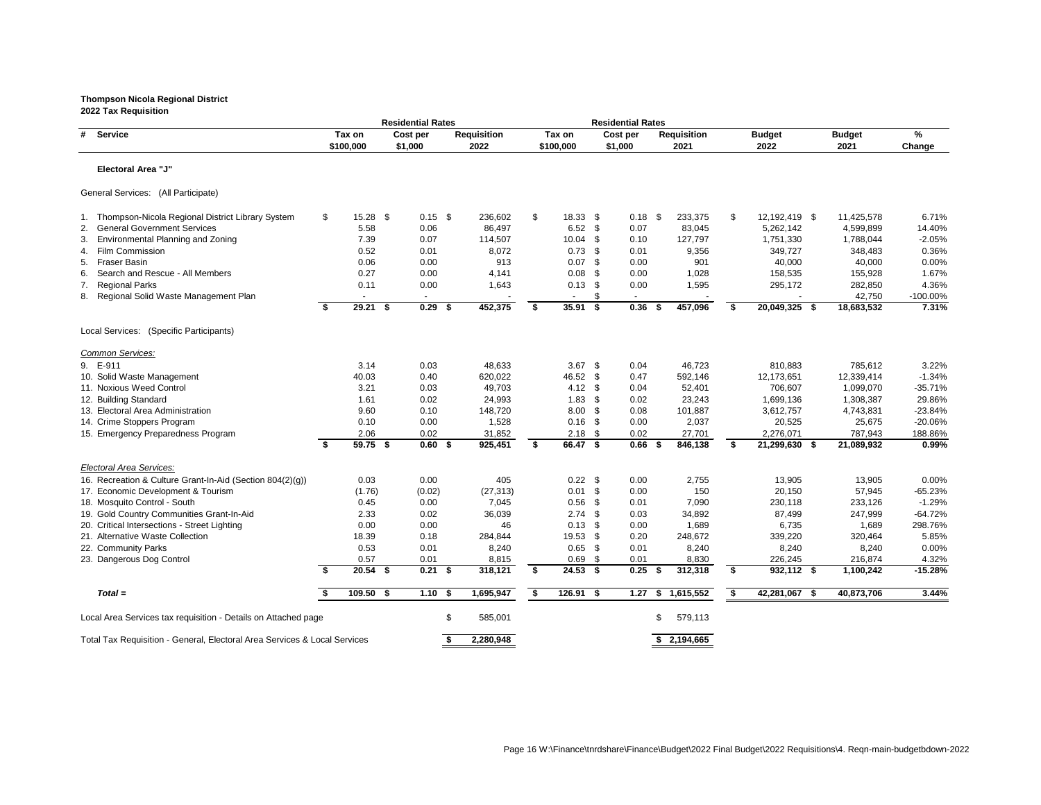|                                                                           |    |             | <b>Residential Rates</b> |                    |           |                   |            | <b>Residential Rates</b> |                    |                     |               |             |
|---------------------------------------------------------------------------|----|-------------|--------------------------|--------------------|-----------|-------------------|------------|--------------------------|--------------------|---------------------|---------------|-------------|
| # Service                                                                 |    | Tax on      | Cost per                 | <b>Requisition</b> |           | Tax on            |            | Cost per                 | <b>Requisition</b> | <b>Budget</b>       | <b>Budget</b> | %           |
|                                                                           |    | \$100,000   | \$1,000                  | 2022               |           | \$100,000         |            | \$1,000                  | 2021               | 2022                | 2021          | Change      |
| <b>Electoral Area "J"</b>                                                 |    |             |                          |                    |           |                   |            |                          |                    |                     |               |             |
| General Services: (All Participate)                                       |    |             |                          |                    |           |                   |            |                          |                    |                     |               |             |
| Thompson-Nicola Regional District Library System<br>1.                    | \$ | $15.28$ \$  | $0.15$ \$                |                    | 236,602   | \$<br>$18.33$ \$  |            | $0.18$ \$                | 233,375            | \$<br>12,192,419 \$ | 11,425,578    | 6.71%       |
| <b>General Government Services</b><br>2.                                  |    | 5.58        | 0.06                     |                    | 86,497    | 6.52              | \$         | 0.07                     | 83,045             | 5,262,142           | 4,599,899     | 14.40%      |
| <b>Environmental Planning and Zoning</b><br>3.                            |    | 7.39        | 0.07                     |                    | 114,507   | 10.04             | \$         | 0.10                     | 127,797            | 1,751,330           | 1,788,044     | $-2.05%$    |
| Film Commission<br>4.                                                     |    | 0.52        | 0.01                     |                    | 8,072     | 0.73              | \$         | 0.01                     | 9,356              | 349,727             | 348,483       | 0.36%       |
| <b>Fraser Basin</b><br>5.                                                 |    | 0.06        | 0.00                     |                    | 913       | 0.07              | \$         | 0.00                     | 901                | 40,000              | 40,000        | 0.00%       |
| Search and Rescue - All Members<br>6.                                     |    | 0.27        | 0.00                     |                    | 4,141     | 0.08              | \$         | 0.00                     | 1,028              | 158,535             | 155,928       | 1.67%       |
| <b>Regional Parks</b><br>7.                                               |    | 0.11        | 0.00                     |                    | 1,643     | 0.13              | \$         | 0.00                     | 1,595              | 295,172             | 282,850       | 4.36%       |
| 8. Regional Solid Waste Management Plan                                   |    | $\sim$      | $\sim$                   |                    |           | $\blacksquare$    | \$         |                          |                    |                     | 42,750        | $-100.00\%$ |
|                                                                           | Ŝ. | $29.21$ \$  | $\overline{0.29}$ \$     |                    | 452,375   | \$<br>$35.91$ \$  |            | $0.36$ \$                | 457,096            | \$<br>20,049,325 \$ | 18,683,532    | 7.31%       |
| Local Services: (Specific Participants)                                   |    |             |                          |                    |           |                   |            |                          |                    |                     |               |             |
| Common Services:                                                          |    |             |                          |                    |           |                   |            |                          |                    |                     |               |             |
| 9. E-911                                                                  |    | 3.14        | 0.03                     |                    | 48,633    | 3.67              | - \$       | 0.04                     | 46,723             | 810,883             | 785,612       | 3.22%       |
| 10. Solid Waste Management                                                |    | 40.03       | 0.40                     |                    | 620,022   | 46.52             | - \$       | 0.47                     | 592,146            | 12,173,651          | 12,339,414    | $-1.34%$    |
| 11. Noxious Weed Control                                                  |    | 3.21        | 0.03                     |                    | 49,703    | 4.12              | \$         | 0.04                     | 52,401             | 706,607             | 1,099,070     | $-35.71%$   |
| 12. Building Standard                                                     |    | 1.61        | 0.02                     |                    | 24,993    | 1.83              | \$         | 0.02                     | 23,243             | 1,699,136           | 1,308,387     | 29.86%      |
| 13. Electoral Area Administration                                         |    | 9.60        | 0.10                     |                    | 148,720   | 8.00              | \$         | 0.08                     | 101,887            | 3,612,757           | 4,743,831     | $-23.84%$   |
| 14. Crime Stoppers Program                                                |    | 0.10        | 0.00                     |                    | 1,528     | 0.16              | $\sqrt{3}$ | 0.00                     | 2,037              | 20,525              | 25,675        | $-20.06%$   |
| 15. Emergency Preparedness Program                                        |    | 2.06        | 0.02                     |                    | 31,852    | 2.18              | -\$        | 0.02                     | 27,701             | 2,276,071           | 787,943       | 188.86%     |
|                                                                           | \$ | 59.75 \$    | $0.60$ \$                |                    | 925,451   | \$<br>66.47 \$    |            | $0.66$ \$                | 846,138            | \$<br>21,299,630 \$ | 21,089,932    | 0.99%       |
| Electoral Area Services:                                                  |    |             |                          |                    |           |                   |            |                          |                    |                     |               |             |
| 16. Recreation & Culture Grant-In-Aid (Section 804(2)(g))                 |    | 0.03        | 0.00                     |                    | 405       | $0.22$ \$         |            | 0.00                     | 2,755              | 13,905              | 13,905        | 0.00%       |
| 17. Economic Development & Tourism                                        |    | (1.76)      | (0.02)                   |                    | (27, 313) | 0.01              | \$         | 0.00                     | 150                | 20,150              | 57,945        | $-65.23%$   |
| 18. Mosquito Control - South                                              |    | 0.45        | 0.00                     |                    | 7,045     | 0.56              | \$         | 0.01                     | 7,090              | 230,118             | 233,126       | $-1.29%$    |
| 19. Gold Country Communities Grant-In-Aid                                 |    | 2.33        | 0.02                     |                    | 36,039    | $2.74$ \$         |            | 0.03                     | 34,892             | 87,499              | 247,999       | $-64.72%$   |
| 20. Critical Intersections - Street Lighting                              |    | 0.00        | 0.00                     |                    | 46        | $0.13$ \$         |            | 0.00                     | 1,689              | 6,735               | 1,689         | 298.76%     |
| 21. Alternative Waste Collection                                          |    | 18.39       | 0.18                     |                    | 284,844   | 19.53 \$          |            | 0.20                     | 248,672            | 339,220             | 320,464       | 5.85%       |
| 22. Community Parks                                                       |    | 0.53        | 0.01                     |                    | 8,240     | $0.65$ \$         |            | 0.01                     | 8,240              | 8,240               | 8,240         | 0.00%       |
| 23. Dangerous Dog Control                                                 |    | 0.57        | 0.01                     |                    | 8,815     | $0.69$ \$         |            | 0.01                     | 8,830              | 226,245             | 216,874       | 4.32%       |
|                                                                           | -S | $20.54$ \$  | $0.21$ \$                |                    | 318,121   | \$<br>$24.53$ \$  |            | 0.25                     | 312,318            | \$<br>932,112 \$    | 1,100,242     | $-15.28%$   |
| $Total =$                                                                 |    | $109.50$ \$ | $1.10$ \$                |                    | 1,695,947 | \$<br>$126.91$ \$ |            | 1.27                     | \$<br>1,615,552    | \$<br>42,281,067 \$ | 40,873,706    | 3.44%       |
| Local Area Services tax requisition - Details on Attached page            |    |             |                          | \$                 | 585,001   |                   |            |                          | \$<br>579,113      |                     |               |             |
|                                                                           |    |             |                          |                    |           |                   |            |                          |                    |                     |               |             |
| Total Tax Requisition - General, Electoral Area Services & Local Services |    |             |                          |                    | 2,280,948 |                   |            |                          | \$2,194,665        |                     |               |             |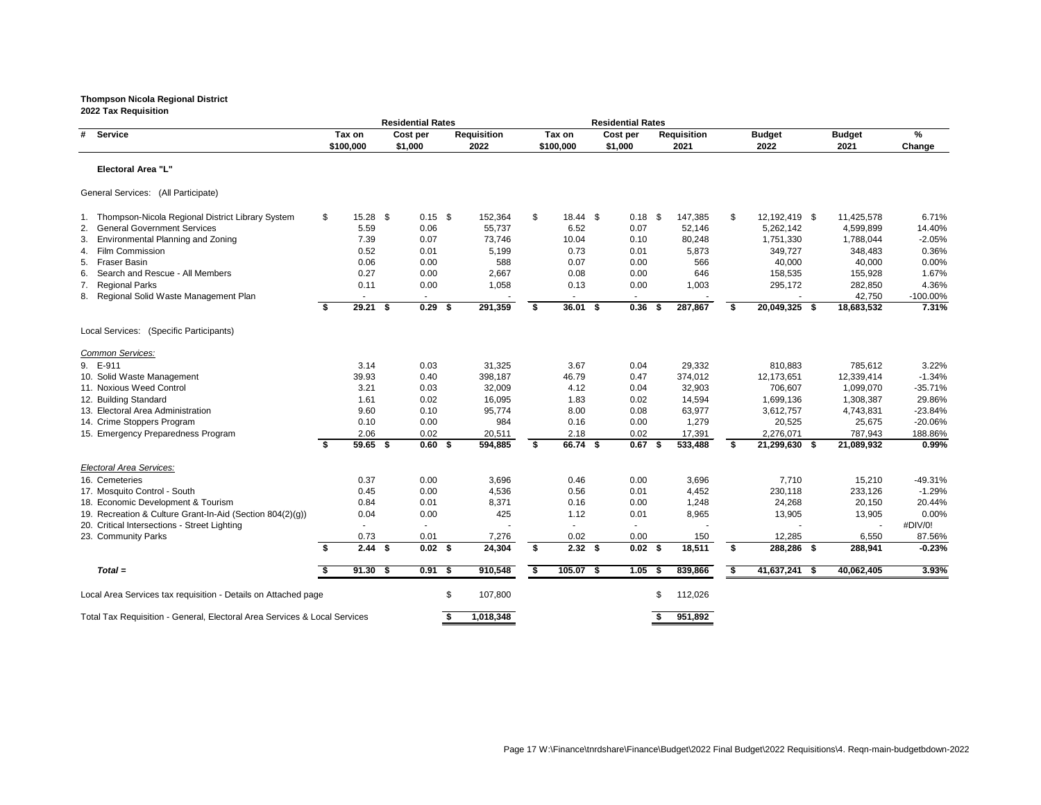|                                                                           |      |            | <b>Residential Rates</b> |                    |    |             | <b>Residential Rates</b> |      |                    |    |               |               |           |
|---------------------------------------------------------------------------|------|------------|--------------------------|--------------------|----|-------------|--------------------------|------|--------------------|----|---------------|---------------|-----------|
| <b>Service</b><br>#                                                       |      | Tax on     | Cost per                 | <b>Requisition</b> |    | Tax on      | Cost per                 |      | <b>Requisition</b> |    | <b>Budget</b> | <b>Budget</b> | %         |
|                                                                           |      | \$100,000  | \$1,000                  | 2022               |    | \$100,000   | \$1,000                  |      | 2021               |    | 2022          | 2021          | Change    |
| <b>Electoral Area "L"</b>                                                 |      |            |                          |                    |    |             |                          |      |                    |    |               |               |           |
| General Services: (All Participate)                                       |      |            |                          |                    |    |             |                          |      |                    |    |               |               |           |
| 1. Thompson-Nicola Regional District Library System                       | \$   | $15.28$ \$ | $0.15$ \$                | 152,364            | \$ | $18.44$ \$  | $0.18$ \$                |      | 147,385            | \$ | 12,192,419 \$ | 11,425,578    | 6.71%     |
| <b>General Government Services</b><br>2.                                  |      | 5.59       | 0.06                     | 55,737             |    | 6.52        | 0.07                     |      | 52,146             |    | 5,262,142     | 4,599,899     | 14.40%    |
| <b>Environmental Planning and Zoning</b><br>3.                            |      | 7.39       | 0.07                     | 73,746             |    | 10.04       | 0.10                     |      | 80,248             |    | 1,751,330     | 1,788,044     | $-2.05%$  |
| <b>Film Commission</b><br>4.                                              |      | 0.52       | 0.01                     | 5,199              |    | 0.73        | 0.01                     |      | 5,873              |    | 349,727       | 348,483       | 0.36%     |
| <b>Fraser Basin</b><br>5.                                                 |      | 0.06       | 0.00                     | 588                |    | 0.07        | 0.00                     |      | 566                |    | 40,000        | 40,000        | 0.00%     |
| 6.<br>Search and Rescue - All Members                                     |      | 0.27       | 0.00                     | 2,667              |    | 0.08        | 0.00                     |      | 646                |    | 158,535       | 155,928       | 1.67%     |
| <b>Regional Parks</b><br>7.                                               |      | 0.11       | 0.00                     | 1,058              |    | 0.13        | 0.00                     |      | 1,003              |    | 295,172       | 282,850       | 4.36%     |
| 8. Regional Solid Waste Management Plan                                   |      |            |                          |                    |    |             |                          |      |                    |    |               | 42,750        | -100.00%  |
|                                                                           | Ŝ.   | $29.21$ \$ | $0.29$ \$                | 291,359            | \$ | $36.01$ \$  | 0.36                     | - \$ | 287,867            | \$ | 20,049,325 \$ | 18,683,532    | 7.31%     |
| Local Services: (Specific Participants)                                   |      |            |                          |                    |    |             |                          |      |                    |    |               |               |           |
| Common Services:                                                          |      |            |                          |                    |    |             |                          |      |                    |    |               |               |           |
| 9. E-911                                                                  |      | 3.14       | 0.03                     | 31,325             |    | 3.67        | 0.04                     |      | 29,332             |    | 810,883       | 785,612       | 3.22%     |
| 10. Solid Waste Management                                                |      | 39.93      | 0.40                     | 398,187            |    | 46.79       | 0.47                     |      | 374,012            |    | 12,173,651    | 12,339,414    | $-1.34%$  |
| 11. Noxious Weed Control                                                  |      | 3.21       | 0.03                     | 32,009             |    | 4.12        | 0.04                     |      | 32,903             |    | 706,607       | 1,099,070     | $-35.71%$ |
| 12. Building Standard                                                     |      | 1.61       | 0.02                     | 16,095             |    | 1.83        | 0.02                     |      | 14,594             |    | 1,699,136     | 1,308,387     | 29.86%    |
| 13. Electoral Area Administration                                         |      | 9.60       | 0.10                     | 95,774             |    | 8.00        | 0.08                     |      | 63,977             |    | 3,612,757     | 4,743,831     | $-23.84%$ |
| 14. Crime Stoppers Program                                                |      | 0.10       | 0.00                     | 984                |    | 0.16        | 0.00                     |      | 1,279              |    | 20,525        | 25,675        | $-20.06%$ |
| 15. Emergency Preparedness Program                                        |      | 2.06       | 0.02                     | 20,511             |    | 2.18        | 0.02                     |      | 17,391             |    | 2,276,071     | 787,943       | 188.86%   |
|                                                                           | Ŝ.   | 59.65 \$   | $0.60$ \$                | 594,885            | \$ | 66.74 \$    | $0.67$ \$                |      | 533,488            | \$ | 21,299,630 \$ | 21,089,932    | 0.99%     |
| <b>Electoral Area Services:</b>                                           |      |            |                          |                    |    |             |                          |      |                    |    |               |               |           |
| 16. Cemeteries                                                            |      | 0.37       | 0.00                     | 3,696              |    | 0.46        | 0.00                     |      | 3,696              |    | 7,710         | 15,210        | $-49.31%$ |
| 17. Mosquito Control - South                                              |      | 0.45       | 0.00                     | 4,536              |    | 0.56        | 0.01                     |      | 4,452              |    | 230,118       | 233,126       | $-1.29%$  |
| 18. Economic Development & Tourism                                        |      | 0.84       | 0.01                     | 8,371              |    | 0.16        | 0.00                     |      | 1,248              |    | 24,268        | 20,150        | 20.44%    |
| 19. Recreation & Culture Grant-In-Aid (Section 804(2)(g))                 |      | 0.04       | 0.00                     | 425                |    | 1.12        | 0.01                     |      | 8,965              |    | 13,905        | 13,905        | 0.00%     |
| 20. Critical Intersections - Street Lighting                              |      |            |                          |                    |    |             |                          |      |                    |    |               |               | #DIV/0!   |
| 23. Community Parks                                                       |      | 0.73       | 0.01                     | 7,276              |    | 0.02        | 0.00                     |      | 150                |    | 12,285        | 6,550         | 87.56%    |
|                                                                           | - \$ | $2.44$ \$  | $0.02$ \$                | 24,304             | \$ | $2.32$ \$   | $0.02$ \$                |      | 18,511             | S. | 288,286 \$    | 288,941       | $-0.23%$  |
| $Total =$                                                                 |      | $91.30$ \$ | $0.91$ \$                | 910,548            | S. | $105.07$ \$ | $1.05$ \$                |      | 839,866            | \$ | 41,637,241 \$ | 40,062,405    | 3.93%     |
| Local Area Services tax requisition - Details on Attached page            |      |            |                          | \$<br>107,800      |    |             |                          | S    | 112,026            |    |               |               |           |
| Total Tax Requisition - General, Electoral Area Services & Local Services |      |            |                          | 1,018,348          |    |             |                          | - \$ | 951,892            |    |               |               |           |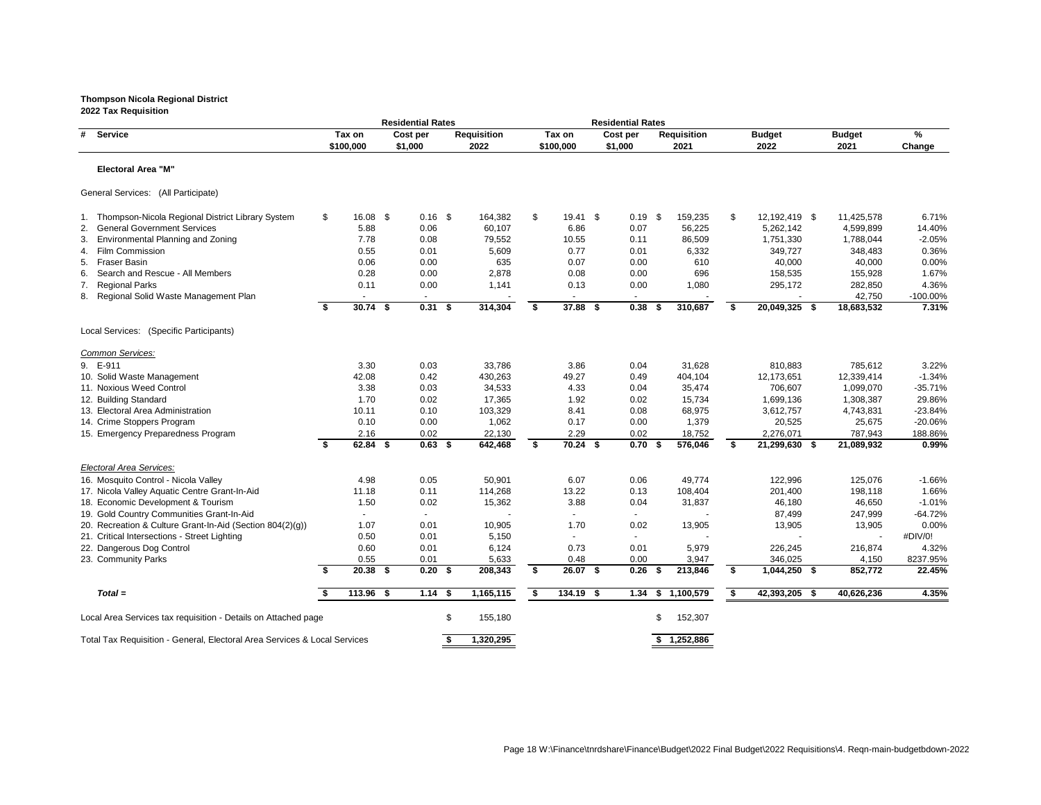|                                                                           |     |             | <b>Residential Rates</b> |                    |                |             | <b>Residential Rates</b> |                    |                     |               |           |
|---------------------------------------------------------------------------|-----|-------------|--------------------------|--------------------|----------------|-------------|--------------------------|--------------------|---------------------|---------------|-----------|
| # Service                                                                 |     | Tax on      | Cost per                 | <b>Requisition</b> |                | Tax on      | Cost per                 | <b>Requisition</b> | <b>Budget</b>       | <b>Budget</b> | %         |
|                                                                           |     | \$100,000   | \$1,000                  | 2022               |                | \$100,000   | \$1,000                  | 2021               | 2022                | 2021          | Change    |
| <b>Electoral Area "M"</b>                                                 |     |             |                          |                    |                |             |                          |                    |                     |               |           |
| General Services: (All Participate)                                       |     |             |                          |                    |                |             |                          |                    |                     |               |           |
| 1. Thompson-Nicola Regional District Library System                       | \$  | $16.08$ \$  | $0.16$ \$                | 164,382            | $\mathfrak{S}$ | $19.41$ \$  | $0.19$ \$                | 159,235            | \$<br>12,192,419 \$ | 11,425,578    | 6.71%     |
| 2. General Government Services                                            |     | 5.88        | 0.06                     | 60,107             |                | 6.86        | 0.07                     | 56,225             | 5,262,142           | 4,599,899     | 14.40%    |
| <b>Environmental Planning and Zoning</b><br>3.                            |     | 7.78        | 0.08                     | 79,552             |                | 10.55       | 0.11                     | 86,509             | 1,751,330           | 1,788,044     | $-2.05%$  |
| <b>Film Commission</b><br>4.                                              |     | 0.55        | 0.01                     | 5,609              |                | 0.77        | 0.01                     | 6,332              | 349,727             | 348,483       | 0.36%     |
| <b>Fraser Basin</b><br>5.                                                 |     | 0.06        | 0.00                     | 635                |                | 0.07        | 0.00                     | 610                | 40,000              | 40,000        | 0.00%     |
| Search and Rescue - All Members<br>6.                                     |     | 0.28        | 0.00                     | 2,878              |                | 0.08        | 0.00                     | 696                | 158,535             | 155,928       | 1.67%     |
| <b>Regional Parks</b><br>7.                                               |     | 0.11        | 0.00                     | 1,141              |                | 0.13        | 0.00                     | 1,080              | 295,172             | 282,850       | 4.36%     |
| 8. Regional Solid Waste Management Plan                                   |     | $\sim$      | $\sim$                   |                    |                | $\sim$      | $\sim$                   |                    |                     | 42,750        | -100.00%  |
|                                                                           | \$  | $30.74$ \$  | $0.31$ \$                | 314,304            | \$             | 37.88 \$    | 0.38                     | 310,687<br>-\$     | \$<br>20,049,325 \$ | 18,683,532    | 7.31%     |
| Local Services: (Specific Participants)                                   |     |             |                          |                    |                |             |                          |                    |                     |               |           |
| Common Services:                                                          |     |             |                          |                    |                |             |                          |                    |                     |               |           |
| 9. E-911                                                                  |     | 3.30        | 0.03                     | 33,786             |                | 3.86        | 0.04                     | 31,628             | 810,883             | 785,612       | 3.22%     |
| 10. Solid Waste Management                                                |     | 42.08       | 0.42                     | 430,263            |                | 49.27       | 0.49                     | 404,104            | 12,173,651          | 12,339,414    | $-1.34%$  |
| 11. Noxious Weed Control                                                  |     | 3.38        | 0.03                     | 34,533             |                | 4.33        | 0.04                     | 35,474             | 706,607             | 1,099,070     | $-35.71%$ |
| 12. Building Standard                                                     |     | 1.70        | 0.02                     | 17,365             |                | 1.92        | 0.02                     | 15,734             | 1,699,136           | 1,308,387     | 29.86%    |
| 13. Electoral Area Administration                                         |     | 10.11       | 0.10                     | 103,329            |                | 8.41        | 0.08                     | 68,975             | 3,612,757           | 4,743,831     | $-23.84%$ |
| 14. Crime Stoppers Program                                                |     | 0.10        | 0.00                     | 1,062              |                | 0.17        | 0.00                     | 1,379              | 20,525              | 25,675        | -20.06%   |
| 15. Emergency Preparedness Program                                        |     | 2.16        | 0.02                     | 22,130             |                | 2.29        | 0.02                     | 18,752             | 2,276,071           | 787,943       | 188.86%   |
|                                                                           | \$  | $62.84$ \$  | $0.63$ \$                | 642,468            | \$             | $70.24$ \$  | 0.70<br>- \$             | 576,046            | \$<br>21,299,630 \$ | 21,089,932    | 0.99%     |
| Electoral Area Services:                                                  |     |             |                          |                    |                |             |                          |                    |                     |               |           |
| 16. Mosquito Control - Nicola Valley                                      |     | 4.98        | 0.05                     | 50,901             |                | 6.07        | 0.06                     | 49,774             | 122,996             | 125,076       | $-1.66%$  |
| 17. Nicola Valley Aquatic Centre Grant-In-Aid                             |     | 11.18       | 0.11                     | 114,268            |                | 13.22       | 0.13                     | 108,404            | 201,400             | 198,118       | 1.66%     |
| 18. Economic Development & Tourism                                        |     | 1.50        | 0.02                     | 15,362             |                | 3.88        | 0.04                     | 31,837             | 46,180              | 46,650        | $-1.01%$  |
| 19. Gold Country Communities Grant-In-Aid                                 |     | $\sim$      |                          |                    |                | $\sim$      |                          |                    | 87,499              | 247,999       | $-64.72%$ |
| 20. Recreation & Culture Grant-In-Aid (Section 804(2)(g))                 |     | 1.07        | 0.01                     | 10,905             |                | 1.70        | 0.02                     | 13,905             | 13,905              | 13,905        | 0.00%     |
| 21. Critical Intersections - Street Lighting                              |     | 0.50        | 0.01                     | 5,150              |                |             |                          |                    |                     |               | #DIV/0!   |
| 22. Dangerous Dog Control                                                 |     | 0.60        | 0.01                     | 6,124              |                | 0.73        | 0.01                     | 5,979              | 226,245             | 216,874       | 4.32%     |
| 23. Community Parks                                                       |     | 0.55        | 0.01                     | 5,633              |                | 0.48        | 0.00                     | 3,947              | 346,025             | 4,150         | 8237.95%  |
|                                                                           | -SI | $20.38$ \$  | $0.20$ \$                | 208,343            | S.             | 26.07 \$    | $0.26$ \$                | 213,846            | \$<br>1,044,250 \$  | 852,772       | 22.45%    |
| $Total =$                                                                 |     | $113.96$ \$ | $1.14$ \$                | 1,165,115          | \$             | $134.19$ \$ | 1.34                     | 1,100,579<br>- 56  | \$<br>42,393,205 \$ | 40,626,236    | 4.35%     |
| Local Area Services tax requisition - Details on Attached page            |     |             |                          | \$<br>155,180      |                |             |                          | 152,307<br>S       |                     |               |           |
| Total Tax Requisition - General, Electoral Area Services & Local Services |     |             |                          | 1,320,295          |                |             |                          | \$1,252,886        |                     |               |           |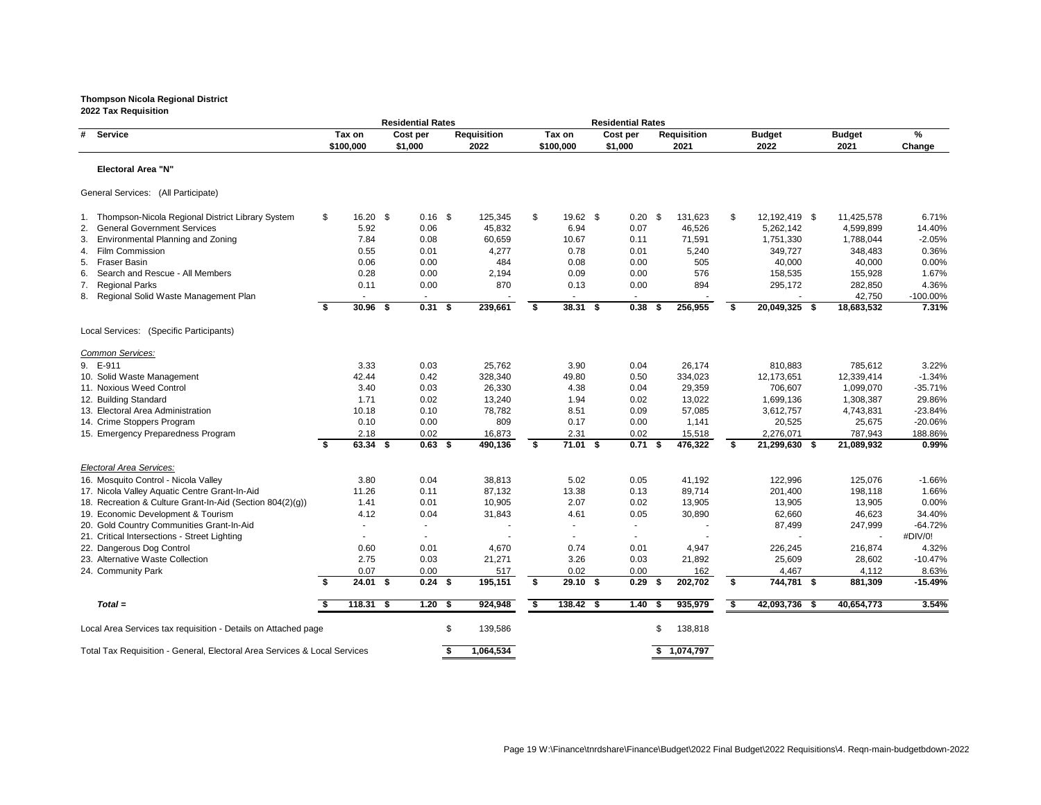|                                                                           |     |                    | <b>Residential Rates</b> |   |                    |    |                    | <b>Residential Rates</b> |      |                    |                           |                  |                    |
|---------------------------------------------------------------------------|-----|--------------------|--------------------------|---|--------------------|----|--------------------|--------------------------|------|--------------------|---------------------------|------------------|--------------------|
| #<br><b>Service</b>                                                       |     | Tax on             | Cost per                 |   | <b>Requisition</b> |    | Tax on             | Cost per                 |      | <b>Requisition</b> | <b>Budget</b>             | <b>Budget</b>    | $\%$               |
|                                                                           |     | \$100,000          | \$1,000                  |   | 2022               |    | \$100,000          | \$1,000                  |      | 2021               | 2022                      | 2021             | Change             |
| <b>Electoral Area "N"</b>                                                 |     |                    |                          |   |                    |    |                    |                          |      |                    |                           |                  |                    |
| General Services: (All Participate)                                       |     |                    |                          |   |                    |    |                    |                          |      |                    |                           |                  |                    |
| 1. Thompson-Nicola Regional District Library System                       | \$  | $16.20$ \$         | $0.16$ \$                |   | 125,345            | \$ | $19.62$ \$         | $0.20$ \$                |      | 131,623            | \$<br>12,192,419 \$       | 11,425,578       | 6.71%              |
| <b>General Government Services</b><br>2.                                  |     | 5.92               | 0.06                     |   | 45,832             |    | 6.94               | 0.07                     |      | 46,526             | 5,262,142                 | 4,599,899        | 14.40%             |
| 3.<br><b>Environmental Planning and Zoning</b>                            |     | 7.84               | 0.08                     |   | 60,659             |    | 10.67              | 0.11                     |      | 71,591             | 1,751,330                 | 1,788,044        | $-2.05%$           |
| <b>Film Commission</b><br>4.                                              |     | 0.55               | 0.01                     |   | 4,277              |    | 0.78               | 0.01                     |      | 5,240              | 349,727                   | 348,483          | 0.36%              |
| <b>Fraser Basin</b><br>5.                                                 |     | 0.06               | 0.00                     |   | 484                |    | 0.08               | 0.00                     |      | 505                | 40,000                    | 40,000           | 0.00%              |
| Search and Rescue - All Members<br>6.                                     |     | 0.28               | 0.00                     |   | 2,194              |    | 0.09               | 0.00                     |      | 576                | 158,535                   | 155,928          | 1.67%              |
| 7.<br><b>Regional Parks</b>                                               |     | 0.11               | 0.00                     |   | 870                |    | 0.13               | 0.00                     |      | 894                | 295,172                   | 282,850          | 4.36%              |
| 8. Regional Solid Waste Management Plan                                   |     | $\sim$             | $\sim$                   |   |                    |    | $\sim$             | $\sim$                   |      |                    |                           | 42,750           | $-100.00\%$        |
|                                                                           | -S. | $30.96$ \$         | $0.31$ \$                |   | 239,661            | \$ | $38.31$ \$         | 0.38                     | - \$ | 256,955            | \$<br>20,049,325 \$       | 18,683,532       | 7.31%              |
| Local Services: (Specific Participants)                                   |     |                    |                          |   |                    |    |                    |                          |      |                    |                           |                  |                    |
| Common Services:                                                          |     |                    |                          |   |                    |    |                    |                          |      |                    |                           |                  |                    |
| 9. E-911                                                                  |     | 3.33               | 0.03                     |   | 25,762             |    | 3.90               | 0.04                     |      | 26,174             | 810,883                   | 785,612          | 3.22%              |
| 10. Solid Waste Management                                                |     | 42.44              | 0.42                     |   | 328,340            |    | 49.80              | 0.50                     |      | 334,023            | 12,173,651                | 12,339,414       | $-1.34%$           |
| 11. Noxious Weed Control                                                  |     | 3.40               | 0.03                     |   | 26,330             |    | 4.38               | 0.04                     |      | 29,359             | 706,607                   | 1,099,070        | $-35.71%$          |
| 12. Building Standard                                                     |     | 1.71               | 0.02                     |   | 13,240             |    | 1.94               | 0.02                     |      | 13,022             | 1,699,136                 | 1,308,387        | 29.86%             |
| 13. Electoral Area Administration                                         |     | 10.18              | 0.10                     |   | 78,782             |    | 8.51               | 0.09                     |      | 57,085             | 3,612,757                 | 4,743,831        | $-23.84%$          |
| 14. Crime Stoppers Program                                                |     | 0.10               | 0.00                     |   | 809                |    | 0.17               | 0.00                     |      | 1,141              | 20,525                    | 25,675           | -20.06%            |
| 15. Emergency Preparedness Program                                        |     | 2.18               | 0.02                     |   | 16,873             |    | 2.31               | 0.02                     |      | 15,518             | 2,276,071                 | 787,943          | 188.86%            |
|                                                                           | \$  | $63.34$ \$         | $0.63$ \$                |   | 490,136            | \$ | $71.01$ \$         | 0.71                     | - \$ | 476,322            | \$<br>21,299,630 \$       | 21,089,932       | 0.99%              |
| Electoral Area Services:                                                  |     |                    |                          |   |                    |    |                    |                          |      |                    |                           |                  |                    |
| 16. Mosquito Control - Nicola Valley                                      |     | 3.80               | 0.04                     |   | 38,813             |    | 5.02               | 0.05                     |      | 41,192             | 122,996                   | 125,076          | $-1.66%$           |
| 17. Nicola Valley Aquatic Centre Grant-In-Aid                             |     | 11.26              | 0.11                     |   | 87,132             |    | 13.38              | 0.13                     |      | 89,714             | 201,400                   | 198,118          | 1.66%              |
| 18. Recreation & Culture Grant-In-Aid (Section 804(2)(g))                 |     | 1.41               | 0.01                     |   | 10,905             |    | 2.07               | 0.02                     |      | 13,905             | 13,905                    | 13,905           | 0.00%              |
| 19. Economic Development & Tourism                                        |     | 4.12               | 0.04                     |   | 31,843             |    | 4.61               | 0.05                     |      | 30,890             | 62,660                    | 46,623           | 34.40%             |
| 20. Gold Country Communities Grant-In-Aid                                 |     |                    |                          |   |                    |    |                    |                          |      |                    | 87,499                    | 247,999          | $-64.72%$          |
| 21. Critical Intersections - Street Lighting                              |     |                    |                          |   |                    |    |                    |                          |      |                    |                           |                  | #DIV/0!            |
| 22. Dangerous Dog Control                                                 |     | 0.60               | 0.01                     |   | 4,670              |    | 0.74               | 0.01                     |      | 4,947              | 226,245                   | 216,874          | 4.32%              |
| 23. Alternative Waste Collection                                          |     | 2.75               | 0.03                     |   | 21,271             |    | 3.26               | 0.03                     |      | 21,892             | 25,609                    | 28,602           | $-10.47%$          |
| 24. Community Park                                                        |     | 0.07<br>$24.01$ \$ | 0.00<br>$0.24$ \$        |   | 517<br>195,151     | S. | 0.02<br>$29.10$ \$ | 0.00<br>0.29             |      | 162<br>202,702     | \$<br>4,467<br>744,781 \$ | 4,112<br>881,309 | 8.63%<br>$-15.49%$ |
|                                                                           |     |                    |                          |   |                    |    |                    |                          |      |                    |                           |                  |                    |
| $Total =$                                                                 |     | $118.31$ \$        | $1.20$ \$                |   | 924,948            |    | $138.42$ \$        | $1.40$ \$                |      | 935,979            | \$<br>42,093,736 \$       | 40,654,773       | 3.54%              |
| Local Area Services tax requisition - Details on Attached page            |     |                    |                          | S | 139,586            |    |                    |                          |      | 138,818            |                           |                  |                    |
| Total Tax Requisition - General, Electoral Area Services & Local Services |     |                    |                          |   | 1,064,534          |    |                    |                          |      | \$1,074,797        |                           |                  |                    |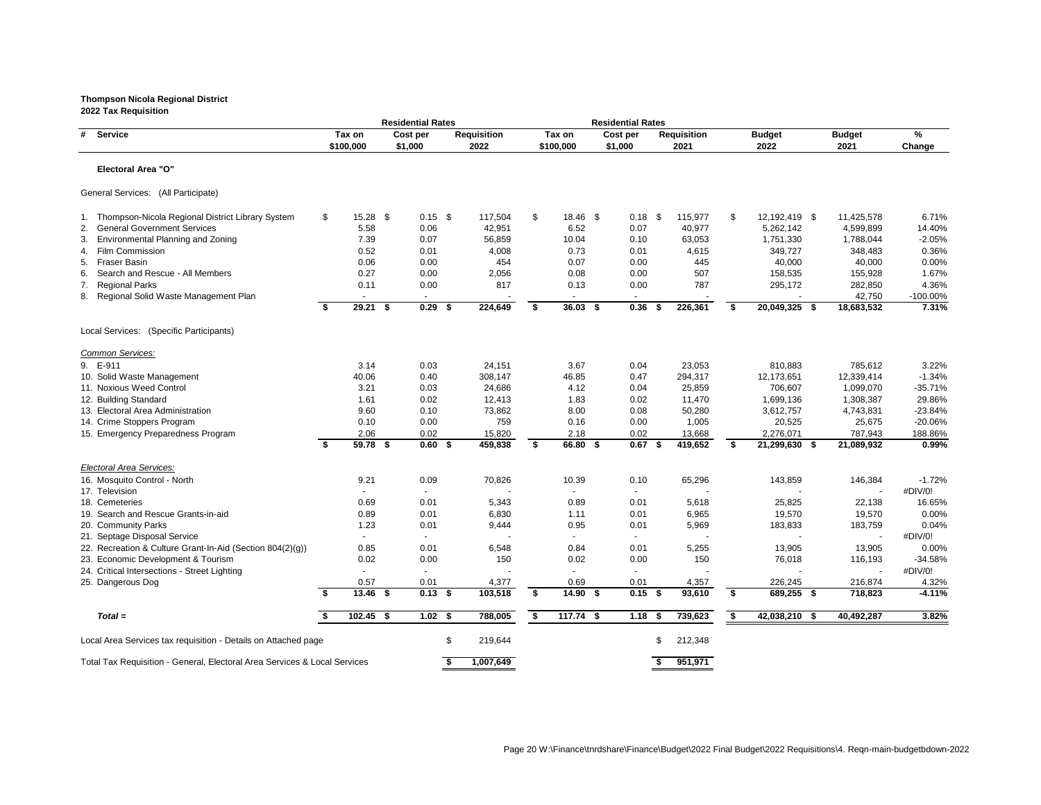|                                                                           |    |             | <b>Residential Rates</b> |                    |      |             | <b>Residential Rates</b> |      |                    |                     |               |             |
|---------------------------------------------------------------------------|----|-------------|--------------------------|--------------------|------|-------------|--------------------------|------|--------------------|---------------------|---------------|-------------|
| # Service                                                                 |    | Tax on      | Cost per                 | <b>Requisition</b> |      | Tax on      | Cost per                 |      | <b>Requisition</b> | <b>Budget</b>       | <b>Budget</b> | %           |
|                                                                           |    | \$100,000   | \$1,000                  | 2022               |      | \$100,000   | \$1,000                  |      | 2021               | 2022                | 2021          | Change      |
| <b>Electoral Area "O"</b>                                                 |    |             |                          |                    |      |             |                          |      |                    |                     |               |             |
| General Services: (All Participate)                                       |    |             |                          |                    |      |             |                          |      |                    |                     |               |             |
| 1. Thompson-Nicola Regional District Library System                       | \$ | $15.28$ \$  | $0.15$ \$                | 117,504            | \$   | 18.46 \$    | $0.18$ \$                |      | 115,977            | \$<br>12,192,419 \$ | 11,425,578    | 6.71%       |
| 2. General Government Services                                            |    | 5.58        | 0.06                     | 42,951             |      | 6.52        | 0.07                     |      | 40,977             | 5,262,142           | 4,599,899     | 14.40%      |
| <b>Environmental Planning and Zoning</b><br>3.                            |    | 7.39        | 0.07                     | 56,859             |      | 10.04       | 0.10                     |      | 63,053             | 1,751,330           | 1,788,044     | $-2.05%$    |
| <b>Film Commission</b><br>4.                                              |    | 0.52        | 0.01                     | 4,008              |      | 0.73        | 0.01                     |      | 4,615              | 349,727             | 348,483       | 0.36%       |
| <b>Fraser Basin</b><br>5.                                                 |    | 0.06        | 0.00                     | 454                |      | 0.07        | 0.00                     |      | 445                | 40,000              | 40,000        | 0.00%       |
| Search and Rescue - All Members<br>6.                                     |    | 0.27        | 0.00                     | 2,056              |      | 0.08        | 0.00                     |      | 507                | 158,535             | 155,928       | 1.67%       |
| <b>Regional Parks</b><br>7.                                               |    | 0.11        | 0.00                     | 817                |      | 0.13        | 0.00                     |      | 787                | 295,172             | 282,850       | 4.36%       |
| 8. Regional Solid Waste Management Plan                                   |    | $\sim$      | $\sim$                   |                    |      | $\sim$      | $\sim$                   |      |                    |                     | 42,750        | $-100.00\%$ |
|                                                                           | \$ | $29.21$ \$  | $0.29$ \$                | 224,649            | \$   | $36.03$ \$  | 0.36                     | - \$ | 226,361            | \$<br>20,049,325 \$ | 18,683,532    | 7.31%       |
| Local Services: (Specific Participants)                                   |    |             |                          |                    |      |             |                          |      |                    |                     |               |             |
| Common Services:                                                          |    |             |                          |                    |      |             |                          |      |                    |                     |               |             |
| 9. E-911                                                                  |    | 3.14        | 0.03                     | 24,151             |      | 3.67        | 0.04                     |      | 23,053             | 810,883             | 785,612       | 3.22%       |
| 10. Solid Waste Management                                                |    | 40.06       | 0.40                     | 308,147            |      | 46.85       | 0.47                     |      | 294,317            | 12,173,651          | 12,339,414    | $-1.34%$    |
| 11. Noxious Weed Control                                                  |    | 3.21        | 0.03                     | 24,686             |      | 4.12        | 0.04                     |      | 25,859             | 706,607             | 1,099,070     | $-35.71%$   |
| 12. Building Standard                                                     |    | 1.61        | 0.02                     | 12,413             |      | 1.83        | 0.02                     |      | 11,470             | 1,699,136           | 1,308,387     | 29.86%      |
| 13. Electoral Area Administration                                         |    | 9.60        | 0.10                     | 73,862             |      | 8.00        | 0.08                     |      | 50,280             | 3,612,757           | 4,743,831     | $-23.84%$   |
| 14. Crime Stoppers Program                                                |    | 0.10        | 0.00                     | 759                |      | 0.16        | 0.00                     |      | 1,005              | 20,525              | 25,675        | -20.06%     |
| 15. Emergency Preparedness Program                                        |    | 2.06        | 0.02                     | 15,820             |      | 2.18        | 0.02                     |      | 13,668             | 2,276,071           | 787,943       | 188.86%     |
|                                                                           | \$ | 59.78 \$    | $0.60$ \$                | 459,838            | \$   | 66.80 \$    | $0.67$ \$                |      | 419,652            | \$<br>21,299,630 \$ | 21,089,932    | 0.99%       |
| Electoral Area Services:                                                  |    |             |                          |                    |      |             |                          |      |                    |                     |               |             |
| 16. Mosquito Control - North                                              |    | 9.21        | 0.09                     | 70,826             |      | 10.39       | 0.10                     |      | 65,296             | 143,859             | 146,384       | $-1.72%$    |
| 17. Television                                                            |    |             |                          |                    |      |             |                          |      |                    |                     |               | #DIV/0!     |
| 18. Cemeteries                                                            |    | 0.69        | 0.01                     | 5,343              |      | 0.89        | 0.01                     |      | 5,618              | 25,825              | 22,138        | 16.65%      |
| 19. Search and Rescue Grants-in-aid                                       |    | 0.89        | 0.01                     | 6,830              |      | 1.11        | 0.01                     |      | 6,965              | 19,570              | 19,570        | 0.00%       |
| 20. Community Parks                                                       |    | 1.23        | 0.01                     | 9,444              |      | 0.95        | 0.01                     |      | 5,969              | 183,833             | 183,759       | 0.04%       |
| 21. Septage Disposal Service                                              |    |             |                          |                    |      |             |                          |      |                    |                     |               | #DIV/0!     |
| 22. Recreation & Culture Grant-In-Aid (Section 804(2)(g))                 |    | 0.85        | 0.01                     | 6,548              |      | 0.84        | 0.01                     |      | 5,255              | 13,905              | 13,905        | 0.00%       |
| 23. Economic Development & Tourism                                        |    | 0.02        | 0.00                     | 150                |      | 0.02        | 0.00                     |      | 150                | 76,018              | 116,193       | $-34.58%$   |
| 24. Critical Intersections - Street Lighting                              |    |             |                          |                    |      |             |                          |      |                    |                     |               | #DIV/0!     |
| 25. Dangerous Dog                                                         |    | 0.57        | 0.01                     | 4,377              |      | 0.69        | 0.01                     |      | 4,357              | 226,245             | 216,874       | 4.32%       |
|                                                                           | Ŝ. | $13.46$ \$  | $0.13$ \$                | 103,518            | -S   | $14.90$ \$  | $0.15$ \$                |      | 93,610             | \$<br>689,255 \$    | 718,823       | $-4.11%$    |
| $Total =$                                                                 |    | $102.45$ \$ | $1.02$ \$                | 788,005            | - \$ | $117.74$ \$ | $1.18$ \$                |      | 739,623            | \$<br>42,038,210 \$ | 40,492,287    | 3.82%       |
| Local Area Services tax requisition - Details on Attached page            |    |             |                          | \$<br>219,644      |      |             |                          | S    | 212,348            |                     |               |             |
| Total Tax Requisition - General, Electoral Area Services & Local Services |    |             |                          | 1,007,649          |      |             |                          |      | 951,971            |                     |               |             |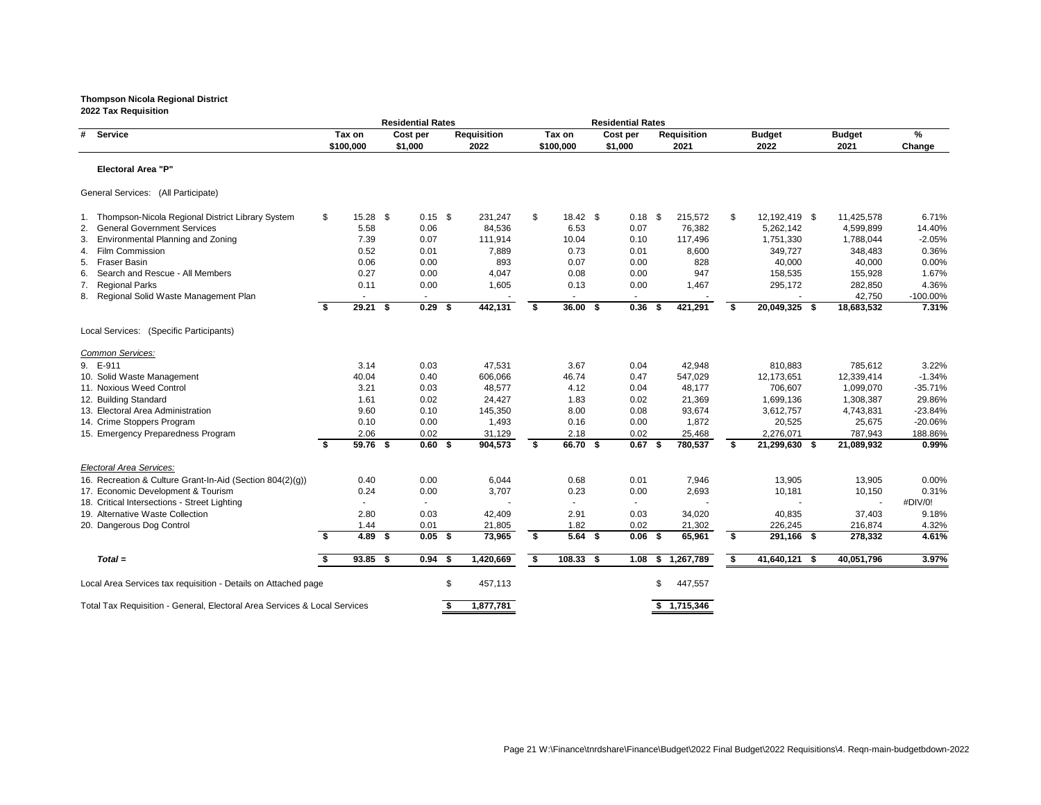# **Thompson Nicola Regional District**

|                                                                           |      |            | <b>Residential Rates</b> |                    |    |                  | <b>Residential Rates</b> |     |                    |      |               |               |           |
|---------------------------------------------------------------------------|------|------------|--------------------------|--------------------|----|------------------|--------------------------|-----|--------------------|------|---------------|---------------|-----------|
| # Service                                                                 |      | Tax on     | Cost per                 | <b>Requisition</b> |    | Tax on           | Cost per                 |     | <b>Requisition</b> |      | <b>Budget</b> | <b>Budget</b> | %         |
|                                                                           |      | \$100,000  | \$1,000                  | 2022               |    | \$100,000        | \$1,000                  |     | 2021               |      | 2022          | 2021          | Change    |
| <b>Electoral Area "P"</b>                                                 |      |            |                          |                    |    |                  |                          |     |                    |      |               |               |           |
| General Services: (All Participate)                                       |      |            |                          |                    |    |                  |                          |     |                    |      |               |               |           |
| Thompson-Nicola Regional District Library System                          | \$   | $15.28$ \$ | $0.15$ \$                | 231,247            | \$ | $18.42 \quad$ \$ | $0.18$ \$                |     | 215,572            | \$   | 12,192,419 \$ | 11,425,578    | 6.71%     |
| <b>General Government Services</b><br>2.                                  |      | 5.58       | 0.06                     | 84,536             |    | 6.53             | 0.07                     |     | 76,382             |      | 5,262,142     | 4,599,899     | 14.40%    |
| <b>Environmental Planning and Zoning</b><br>3.                            |      | 7.39       | 0.07                     | 111,914            |    | 10.04            | 0.10                     |     | 117,496            |      | 1,751,330     | 1,788,044     | $-2.05%$  |
| 4. Film Commission                                                        |      | 0.52       | 0.01                     | 7,889              |    | 0.73             | 0.01                     |     | 8,600              |      | 349,727       | 348,483       | 0.36%     |
| Fraser Basin<br>5.                                                        |      | 0.06       | 0.00                     | 893                |    | 0.07             | 0.00                     |     | 828                |      | 40,000        | 40,000        | 0.00%     |
| Search and Rescue - All Members<br>6.                                     |      | 0.27       | 0.00                     | 4,047              |    | 0.08             | 0.00                     |     | 947                |      | 158,535       | 155,928       | 1.67%     |
| <b>Regional Parks</b><br>7.                                               |      | 0.11       | 0.00                     | 1,605              |    | 0.13             | 0.00                     |     | 1,467              |      | 295,172       | 282,850       | 4.36%     |
| 8. Regional Solid Waste Management Plan                                   |      |            |                          |                    |    |                  |                          |     |                    |      |               | 42,750        | -100.00%  |
|                                                                           | - \$ | $29.21$ \$ | $0.29$ \$                | 442,131            | S. | $36.00\quad$ \$  | 0.36                     | - 5 | 421,291            | - \$ | 20,049,325 \$ | 18,683,532    | 7.31%     |
| Local Services: (Specific Participants)                                   |      |            |                          |                    |    |                  |                          |     |                    |      |               |               |           |
| Common Services:                                                          |      |            |                          |                    |    |                  |                          |     |                    |      |               |               |           |
| 9. E-911                                                                  |      | 3.14       | 0.03                     | 47,531             |    | 3.67             | 0.04                     |     | 42,948             |      | 810,883       | 785,612       | 3.22%     |
| 10. Solid Waste Management                                                |      | 40.04      | 0.40                     | 606,066            |    | 46.74            | 0.47                     |     | 547,029            |      | 12,173,651    | 12,339,414    | $-1.34%$  |
| 11. Noxious Weed Control                                                  |      | 3.21       | 0.03                     | 48,577             |    | 4.12             | 0.04                     |     | 48,177             |      | 706,607       | 1,099,070     | $-35.71%$ |
| 12. Building Standard                                                     |      | 1.61       | 0.02                     | 24,427             |    | 1.83             | 0.02                     |     | 21,369             |      | 1,699,136     | 1,308,387     | 29.86%    |
| 13. Electoral Area Administration                                         |      | 9.60       | 0.10                     | 145,350            |    | 8.00             | 0.08                     |     | 93,674             |      | 3,612,757     | 4,743,831     | $-23.84%$ |
| 14. Crime Stoppers Program                                                |      | 0.10       | 0.00                     | 1,493              |    | 0.16             | 0.00                     |     | 1,872              |      | 20,525        | 25,675        | $-20.06%$ |
| 15. Emergency Preparedness Program                                        |      | 2.06       | 0.02                     | 31,129             |    | 2.18             | 0.02                     |     | 25,468             |      | 2,276,071     | 787,943       | 188.86%   |
|                                                                           | \$   | 59.76 \$   | $0.60$ \$                | 904,573            | \$ | 66.70 \$         | $0.67$ \$                |     | 780,537            | \$   | 21,299,630 \$ | 21,089,932    | 0.99%     |
| Electoral Area Services:                                                  |      |            |                          |                    |    |                  |                          |     |                    |      |               |               |           |
| 16. Recreation & Culture Grant-In-Aid (Section 804(2)(g))                 |      | 0.40       | 0.00                     | 6,044              |    | 0.68             | 0.01                     |     | 7,946              |      | 13,905        | 13,905        | 0.00%     |
| 17. Economic Development & Tourism                                        |      | 0.24       | 0.00                     | 3,707              |    | 0.23             | 0.00                     |     | 2,693              |      | 10,181        | 10,150        | 0.31%     |
| 18. Critical Intersections - Street Lighting                              |      |            |                          |                    |    |                  |                          |     |                    |      |               |               | #DIV/0!   |
| 19. Alternative Waste Collection                                          |      | 2.80       | 0.03                     | 42,409             |    | 2.91             | 0.03                     |     | 34,020             |      | 40,835        | 37,403        | 9.18%     |
| 20. Dangerous Dog Control                                                 |      | 1.44       | 0.01                     | 21,805             |    | 1.82             | 0.02                     |     | 21,302             |      | 226,245       | 216,874       | 4.32%     |
|                                                                           | - 56 | 4.89 $$$   | $0.05$ \$                | 73,965             | \$ | $5.64$ \$        | $0.06$ \$                |     | 65,961             | \$   | 291,166 \$    | 278,332       | 4.61%     |
| $Total =$                                                                 |      | $93.85$ \$ | $0.94$ \$                | 1,420,669          | \$ | $108.33$ \$      | $1.08$ \$                |     | 1,267,789          | \$   | 41,640,121 \$ | 40,051,796    | 3.97%     |
| Local Area Services tax requisition - Details on Attached page            |      |            |                          | \$<br>457,113      |    |                  |                          | \$  | 447,557            |      |               |               |           |
| Total Tax Requisition - General, Electoral Area Services & Local Services |      |            |                          | 1,877,781          |    |                  |                          |     | \$1,715,346        |      |               |               |           |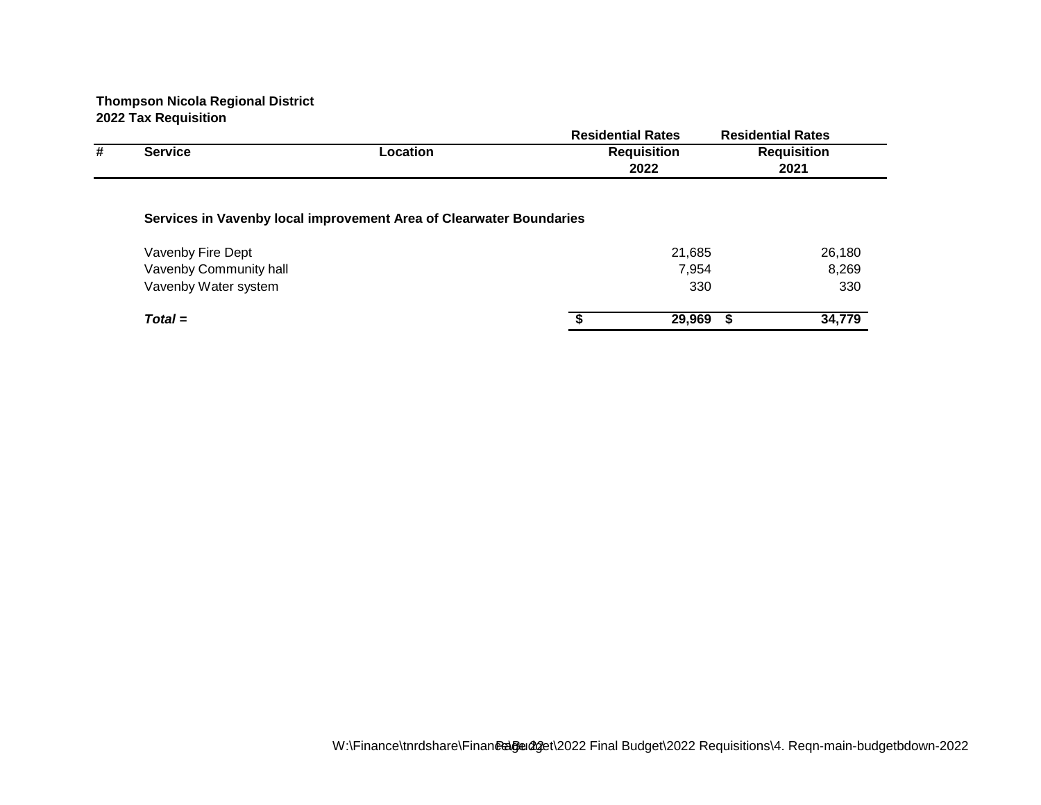|   |                        |                                                                     | <b>Residential Rates</b> |     | <b>Residential Rates</b> |
|---|------------------------|---------------------------------------------------------------------|--------------------------|-----|--------------------------|
| # | <b>Service</b>         | Location                                                            | <b>Requisition</b>       |     | <b>Requisition</b>       |
|   |                        |                                                                     | 2022                     |     | 2021                     |
|   |                        | Services in Vavenby local improvement Area of Clearwater Boundaries |                          |     |                          |
|   | Vavenby Fire Dept      |                                                                     | 21,685                   |     | 26,180                   |
|   | Vavenby Community hall |                                                                     | 7,954                    |     | 8,269                    |
|   | Vavenby Water system   |                                                                     |                          | 330 | 330                      |
|   | $Total =$              |                                                                     | 29,969                   | -S  | 34,779                   |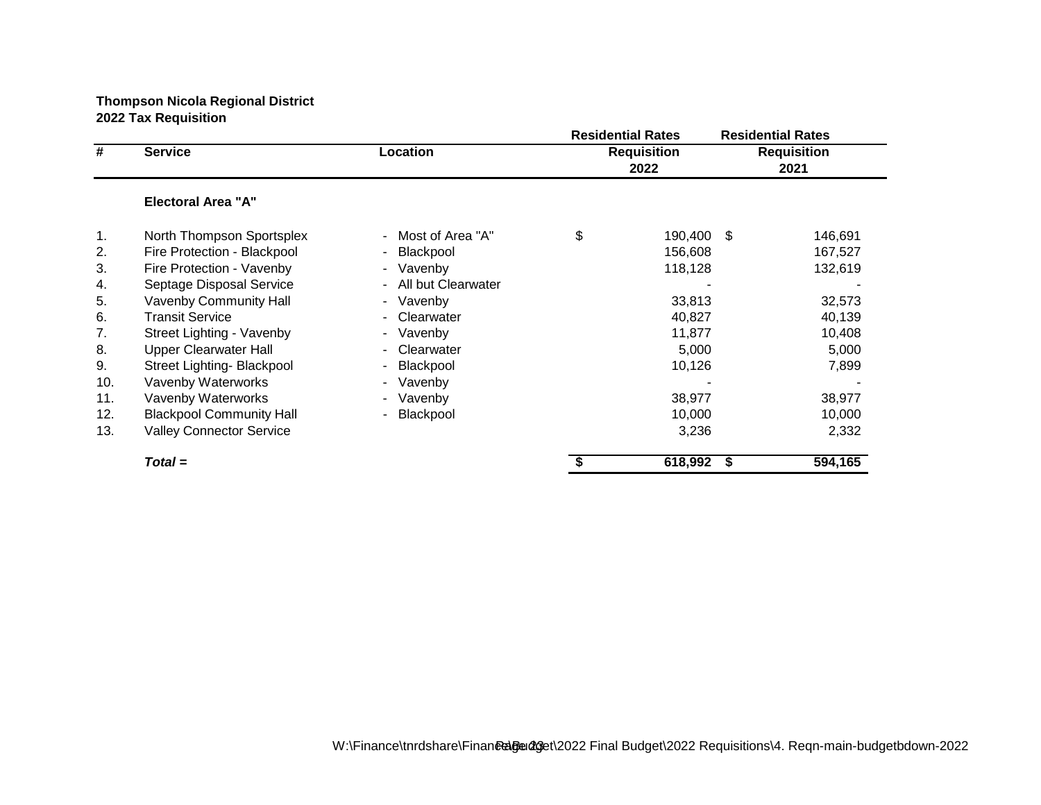|     |                                 |                      | <b>Residential Rates</b>   |     | <b>Residential Rates</b>   |
|-----|---------------------------------|----------------------|----------------------------|-----|----------------------------|
| #   | <b>Service</b>                  | Location             | <b>Requisition</b><br>2022 |     | <b>Requisition</b><br>2021 |
|     | <b>Electoral Area "A"</b>       |                      |                            |     |                            |
| 1.  | North Thompson Sportsplex       | - Most of Area "A"   | \$<br>190,400              | -\$ | 146,691                    |
| 2.  | Fire Protection - Blackpool     | Blackpool<br>۰.      | 156,608                    |     | 167,527                    |
| 3.  | Fire Protection - Vavenby       | - Vavenby            | 118,128                    |     | 132,619                    |
| 4.  | Septage Disposal Service        | - All but Clearwater |                            |     |                            |
| 5.  | Vavenby Community Hall          | - Vavenby            | 33,813                     |     | 32,573                     |
| 6.  | <b>Transit Service</b>          | Clearwater           | 40,827                     |     | 40,139                     |
| 7.  | Street Lighting - Vavenby       | - Vavenby            | 11,877                     |     | 10,408                     |
| 8.  | <b>Upper Clearwater Hall</b>    | Clearwater           | 5,000                      |     | 5,000                      |
| 9.  | Street Lighting- Blackpool      | Blackpool<br>$\sim$  | 10,126                     |     | 7,899                      |
| 10. | Vavenby Waterworks              | - Vavenby            |                            |     |                            |
| 11. | Vavenby Waterworks              | - Vavenby            | 38,977                     |     | 38,977                     |
| 12. | <b>Blackpool Community Hall</b> | Blackpool            | 10,000                     |     | 10,000                     |
| 13. | <b>Valley Connector Service</b> |                      | 3,236                      |     | 2,332                      |
|     | $Total =$                       |                      | \$<br>618,992              | \$  | 594,165                    |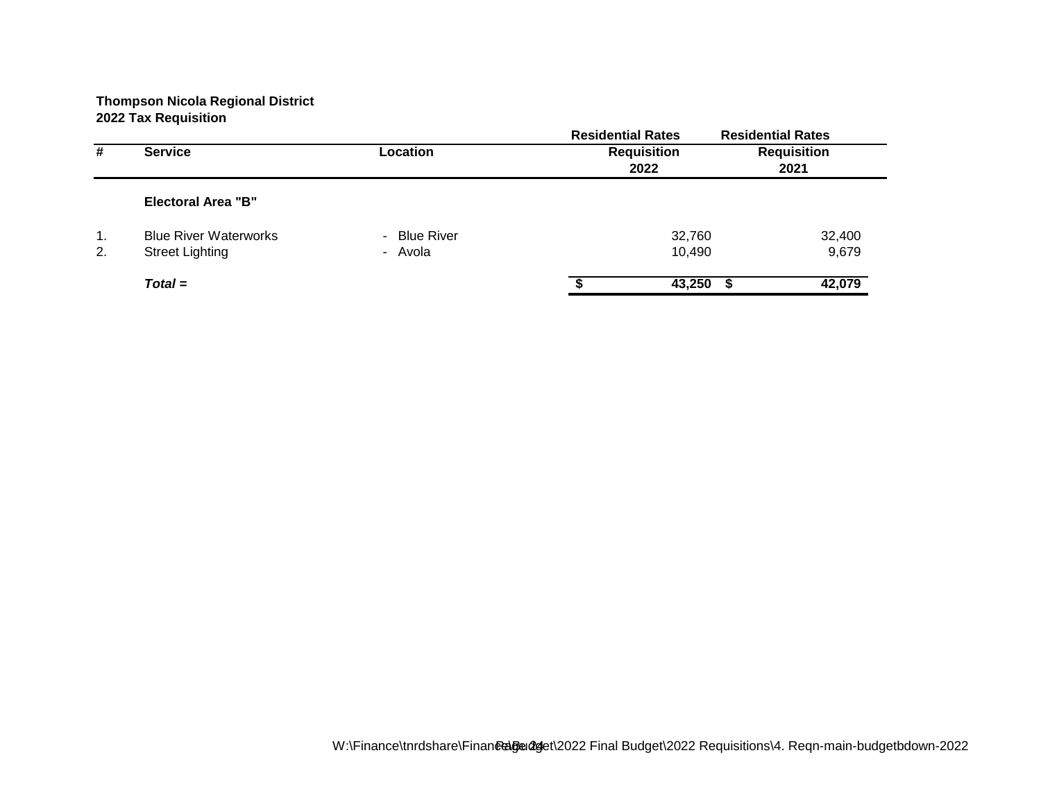|                |                              |                             | <b>Residential Rates</b> | <b>Residential Rates</b> |
|----------------|------------------------------|-----------------------------|--------------------------|--------------------------|
| #              | <b>Service</b>               | Location                    | <b>Requisition</b>       | <b>Requisition</b>       |
|                |                              |                             | 2022                     | 2021                     |
|                | <b>Electoral Area "B"</b>    |                             |                          |                          |
| $\mathbf{1}$ . | <b>Blue River Waterworks</b> | <b>Blue River</b><br>$\sim$ | 32,760                   | 32,400                   |
| 2.             | <b>Street Lighting</b>       | - Avola                     | 10,490                   | 9,679                    |
|                | $Total =$                    |                             | 43,250                   | 42,079                   |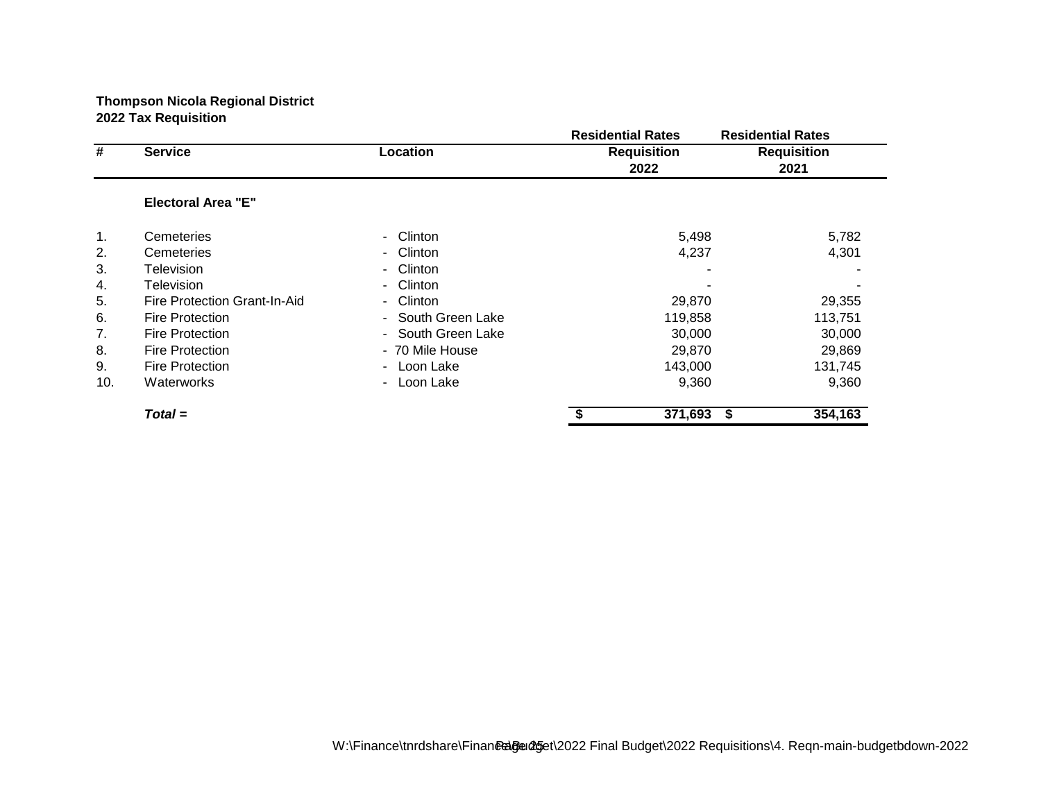|     |                              |                      | <b>Residential Rates</b> | <b>Residential Rates</b> |
|-----|------------------------------|----------------------|--------------------------|--------------------------|
| #   | <b>Service</b>               | Location             | <b>Requisition</b>       | <b>Requisition</b>       |
|     |                              |                      | 2022                     | 2021                     |
|     | <b>Electoral Area "E"</b>    |                      |                          |                          |
| 1.  | Cemeteries                   | Clinton<br>۰.        |                          | 5,498<br>5,782           |
| 2.  | Cemeteries                   | Clinton<br>۰.        |                          | 4,237<br>4,301           |
| 3.  | Television                   | <b>Clinton</b><br>۰. |                          |                          |
| 4.  | Television                   | Clinton<br>$\sim$    |                          |                          |
| 5.  | Fire Protection Grant-In-Aid | Clinton<br>$\sim$    |                          | 29,870<br>29,355         |
| 6.  | <b>Fire Protection</b>       | - South Green Lake   | 119,858                  | 113,751                  |
| 7.  | <b>Fire Protection</b>       | - South Green Lake   |                          | 30,000<br>30,000         |
| 8.  | <b>Fire Protection</b>       | - 70 Mile House      |                          | 29,870<br>29,869         |
| 9.  | <b>Fire Protection</b>       | - Loon Lake          | 143,000                  | 131,745                  |
| 10. | Waterworks                   | Loon Lake<br>$\sim$  |                          | 9,360<br>9,360           |
|     | $Total =$                    |                      | 371,693                  | 354,163<br>\$            |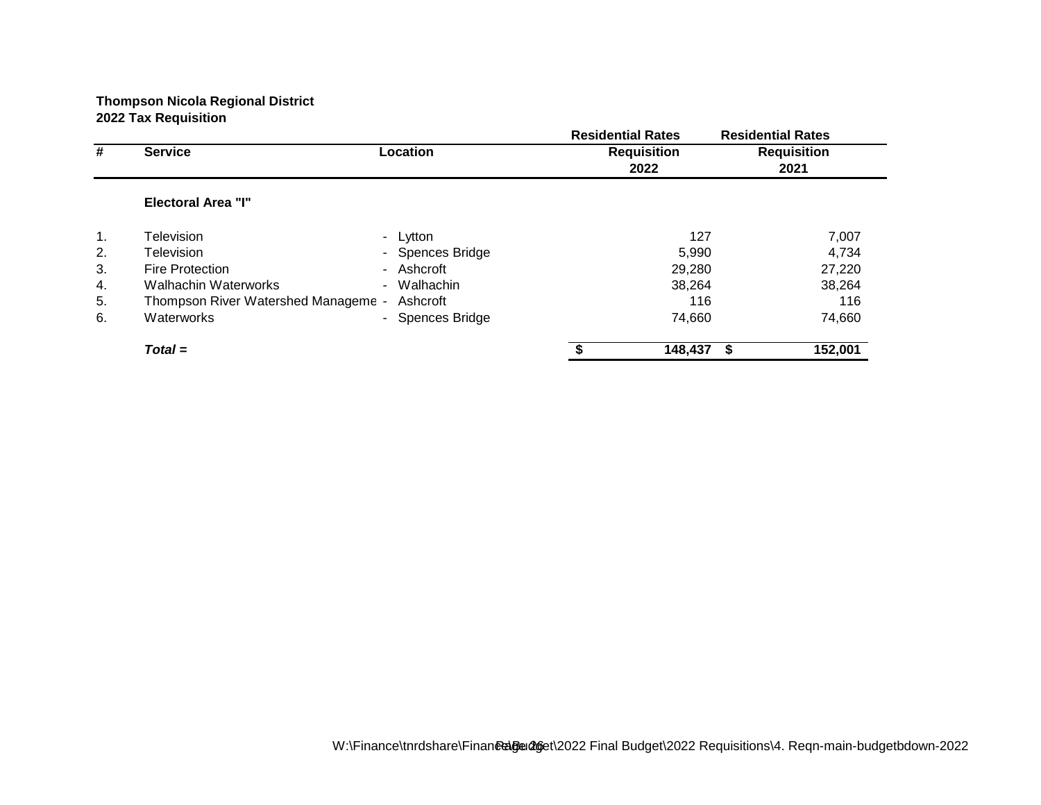|    |                                     |                                       | <b>Residential Rates</b> |         | <b>Residential Rates</b> |
|----|-------------------------------------|---------------------------------------|--------------------------|---------|--------------------------|
| #  | <b>Service</b>                      | Location                              | <b>Requisition</b>       |         | <b>Requisition</b>       |
|    |                                     |                                       | 2022                     |         | 2021                     |
|    | <b>Electoral Area "I"</b>           |                                       |                          |         |                          |
| 1. | Television                          | Lytton<br>۰.                          |                          | 127     | 7,007                    |
| 2. | Television                          | - Spences Bridge                      |                          | 5,990   | 4,734                    |
| 3. | <b>Fire Protection</b>              | - Ashcroft                            |                          | 29,280  | 27,220                   |
| 4. | Walhachin Waterworks                | Walhachin<br>$\overline{\phantom{0}}$ |                          | 38,264  | 38,264                   |
| 5. | Thompson River Watershed Manageme - | Ashcroft                              |                          | 116     | 116                      |
| 6. | Waterworks                          | - Spences Bridge                      |                          | 74,660  | 74,660                   |
|    | $Total =$                           |                                       |                          | 148,437 | 152,001                  |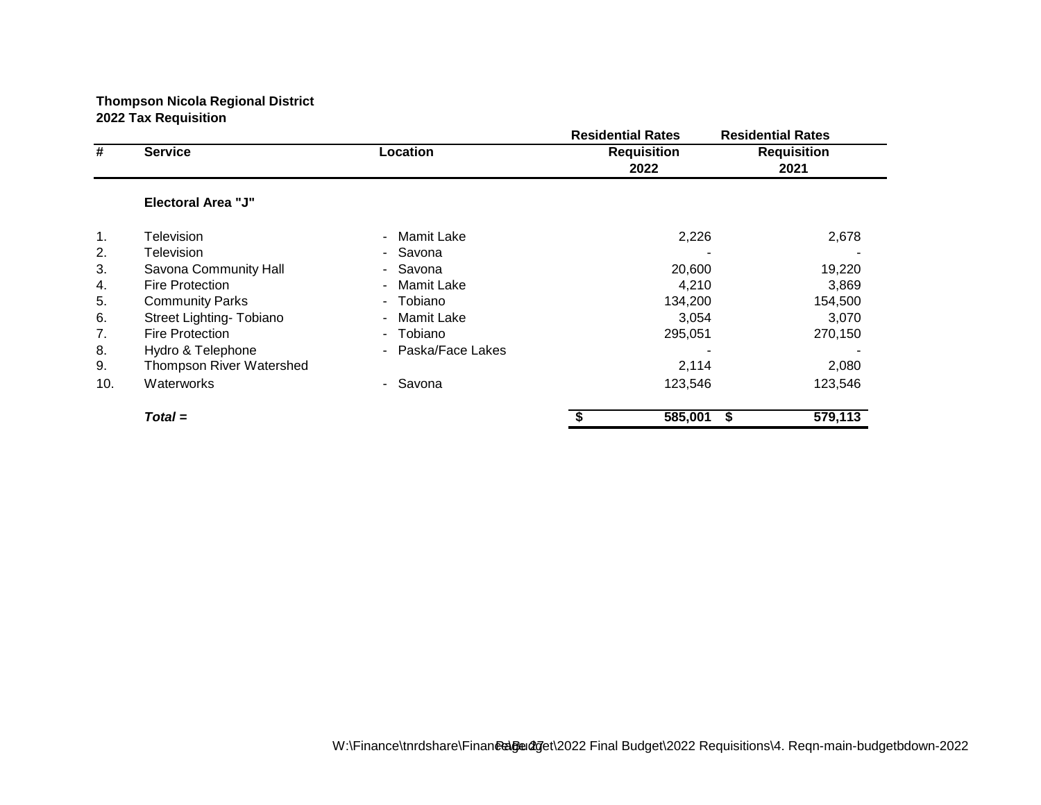|     |                           |                              | <b>Residential Rates</b>   | <b>Residential Rates</b>   |
|-----|---------------------------|------------------------------|----------------------------|----------------------------|
| #   | <b>Service</b>            | Location                     | <b>Requisition</b><br>2022 | <b>Requisition</b><br>2021 |
|     | <b>Electoral Area "J"</b> |                              |                            |                            |
| 1.  | Television                | Mamit Lake<br>$\blacksquare$ | 2,226                      | 2,678                      |
| 2.  | Television                | - Savona                     |                            |                            |
| 3.  | Savona Community Hall     | - Savona                     | 20,600                     | 19,220                     |
| 4.  | <b>Fire Protection</b>    | Mamit Lake<br>$\sim$         | 4,210                      | 3,869                      |
| 5.  | <b>Community Parks</b>    | - Tobiano                    | 134,200                    | 154,500                    |
| 6.  | Street Lighting- Tobiano  | - Mamit Lake                 | 3,054                      | 3,070                      |
| 7.  | <b>Fire Protection</b>    | - Tobiano                    | 295,051                    | 270,150                    |
| 8.  | Hydro & Telephone         | - Paska/Face Lakes           |                            |                            |
| 9.  | Thompson River Watershed  |                              | 2,114                      | 2,080                      |
| 10. | Waterworks                | - Savona                     | 123,546                    | 123,546                    |
|     | $Total =$                 |                              | 585,001                    | 579,113<br>\$              |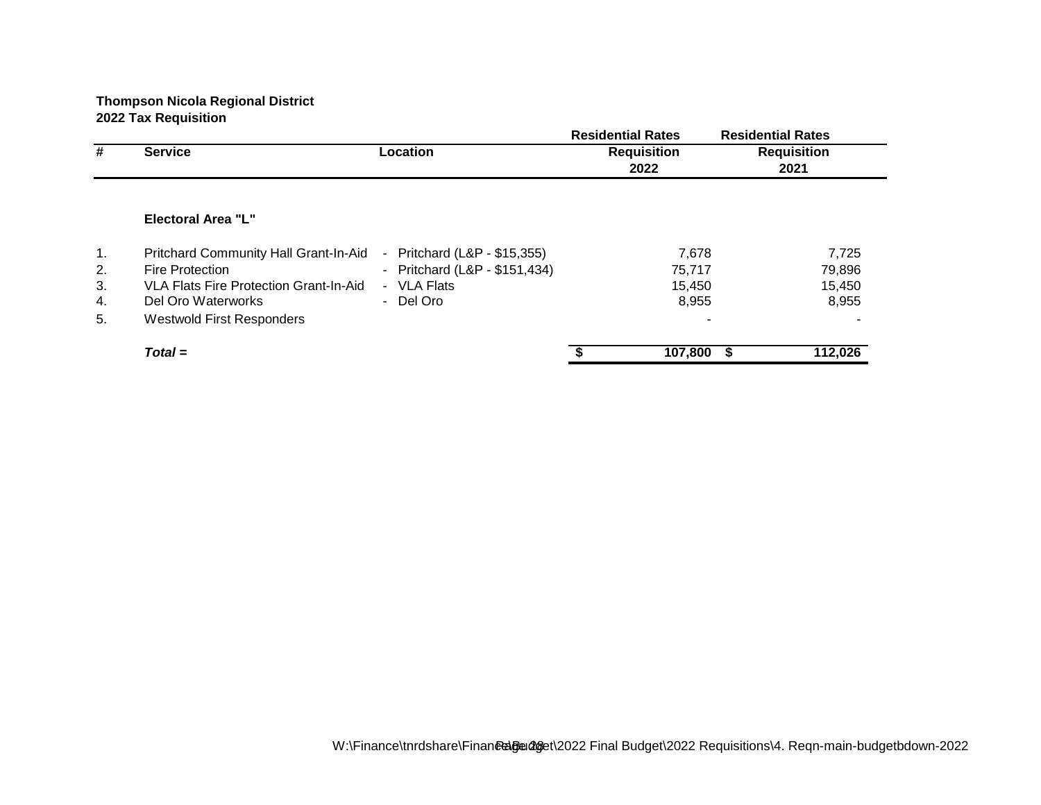|                                        |                                              | <b>Residential Rates</b>   | <b>Residential Rates</b>                      |
|----------------------------------------|----------------------------------------------|----------------------------|-----------------------------------------------|
| <b>Service</b>                         | Location                                     | <b>Requisition</b>         | <b>Requisition</b>                            |
|                                        |                                              | 2022                       | 2021                                          |
| Electoral Area "L"                     |                                              |                            |                                               |
|                                        | $\blacksquare$                               |                            | 7,725                                         |
| <b>Fire Protection</b>                 | - Pritchard (L&P - \$151,434)                |                            | 79,896                                        |
| VLA Flats Fire Protection Grant-In-Aid | <b>VLA Flats</b><br>$\sim$                   |                            | 15,450                                        |
| Del Oro Waterworks                     | - Del Oro                                    |                            | 8,955                                         |
| <b>Westwold First Responders</b>       |                                              |                            |                                               |
| $Total =$                              |                                              |                            | 112,026<br>- S                                |
|                                        | <b>Pritchard Community Hall Grant-In-Aid</b> | Pritchard (L&P - \$15,355) | 7,678<br>75,717<br>15.450<br>8,955<br>107,800 |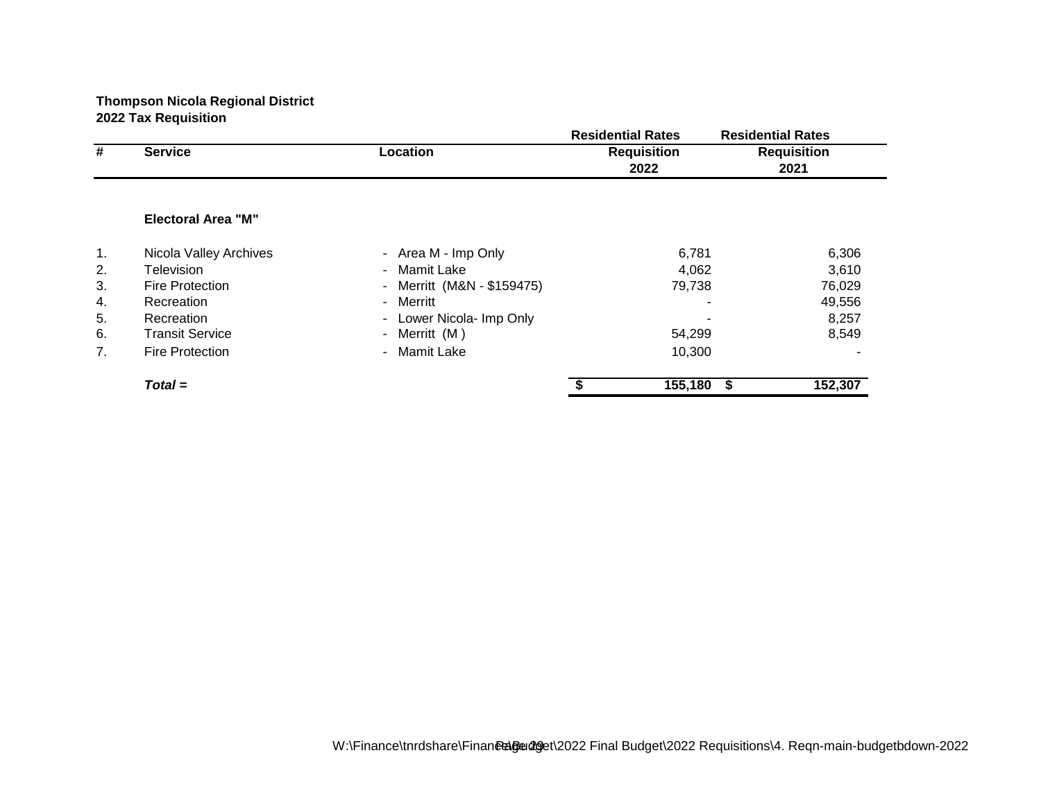|    |                            |                                                    | <b>Residential Rates</b> | <b>Residential Rates</b> |
|----|----------------------------|----------------------------------------------------|--------------------------|--------------------------|
| #  | <b>Service</b><br>Location |                                                    | <b>Requisition</b>       | <b>Requisition</b>       |
|    |                            |                                                    | 2022                     | 2021                     |
|    |                            |                                                    |                          |                          |
|    | <b>Electoral Area "M"</b>  |                                                    |                          |                          |
| 1. | Nicola Valley Archives     | - Area M - Imp Only                                | 6,781                    | 6,306                    |
| 2. | Television                 | Mamit Lake<br>$\sim$                               | 4,062                    | 3,610                    |
| 3. | <b>Fire Protection</b>     | Merritt (M&N - \$159475)<br>$\blacksquare$         | 79,738                   | 76,029                   |
| 4. | Recreation                 | Merritt<br>$\overline{\phantom{0}}$                |                          | 49,556                   |
| 5. | Recreation                 | Lower Nicola- Imp Only<br>$\overline{\phantom{0}}$ |                          | 8,257                    |
| 6. | <b>Transit Service</b>     | Merritt (M)<br>$\blacksquare$                      | 54,299                   | 8,549                    |
| 7. | <b>Fire Protection</b>     | <b>Mamit Lake</b><br>$\blacksquare$                | 10,300                   |                          |
|    | $Total =$                  |                                                    | 155,180                  | 152,307<br>- S           |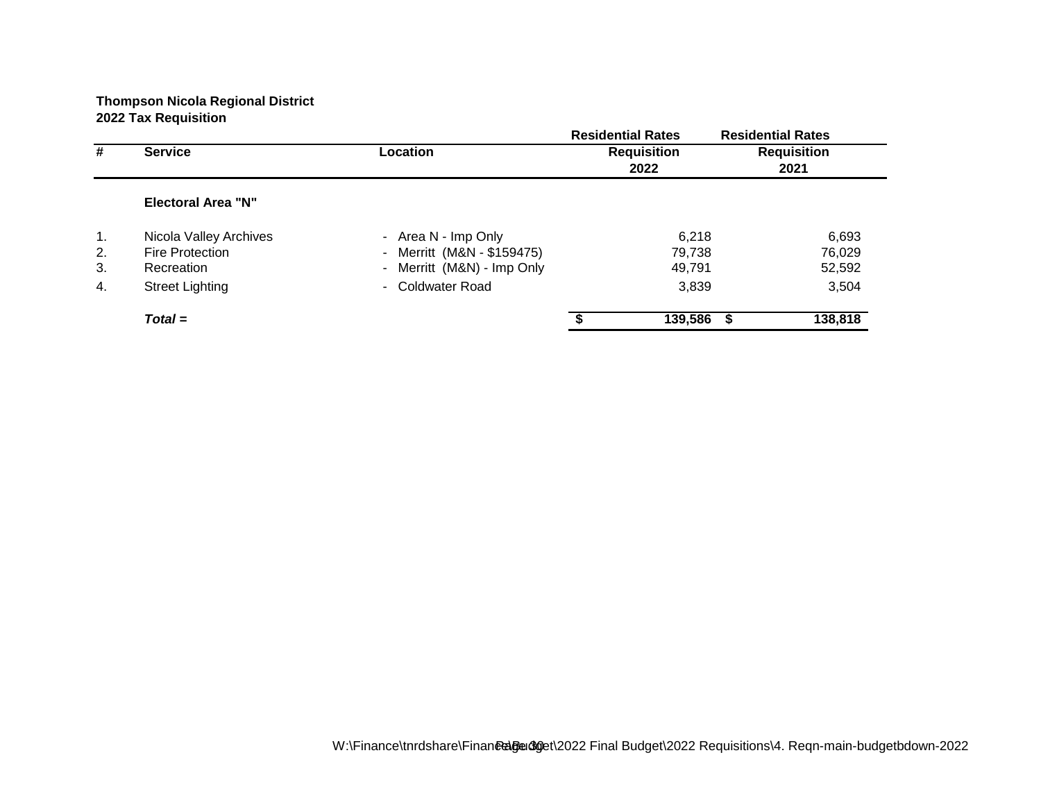|                |                            |                            | <b>Residential Rates</b> | <b>Residential Rates</b> |
|----------------|----------------------------|----------------------------|--------------------------|--------------------------|
| #              | <b>Service</b><br>Location |                            | <b>Requisition</b>       | <b>Requisition</b>       |
|                |                            |                            | 2022                     | 2021                     |
|                | <b>Electoral Area "N"</b>  |                            |                          |                          |
| $\mathbf{1}$ . | Nicola Valley Archives     | - Area N - Imp Only        | 6,218                    | 6,693                    |
| 2.             | <b>Fire Protection</b>     | - Merritt (M&N - \$159475) | 79,738                   | 76,029                   |
| 3.             | Recreation                 | - Merritt (M&N) - Imp Only | 49,791                   | 52,592                   |
| 4.             | <b>Street Lighting</b>     | - Coldwater Road           | 3,839                    | 3,504                    |
|                | $Total =$                  |                            | 139,586                  | 138,818                  |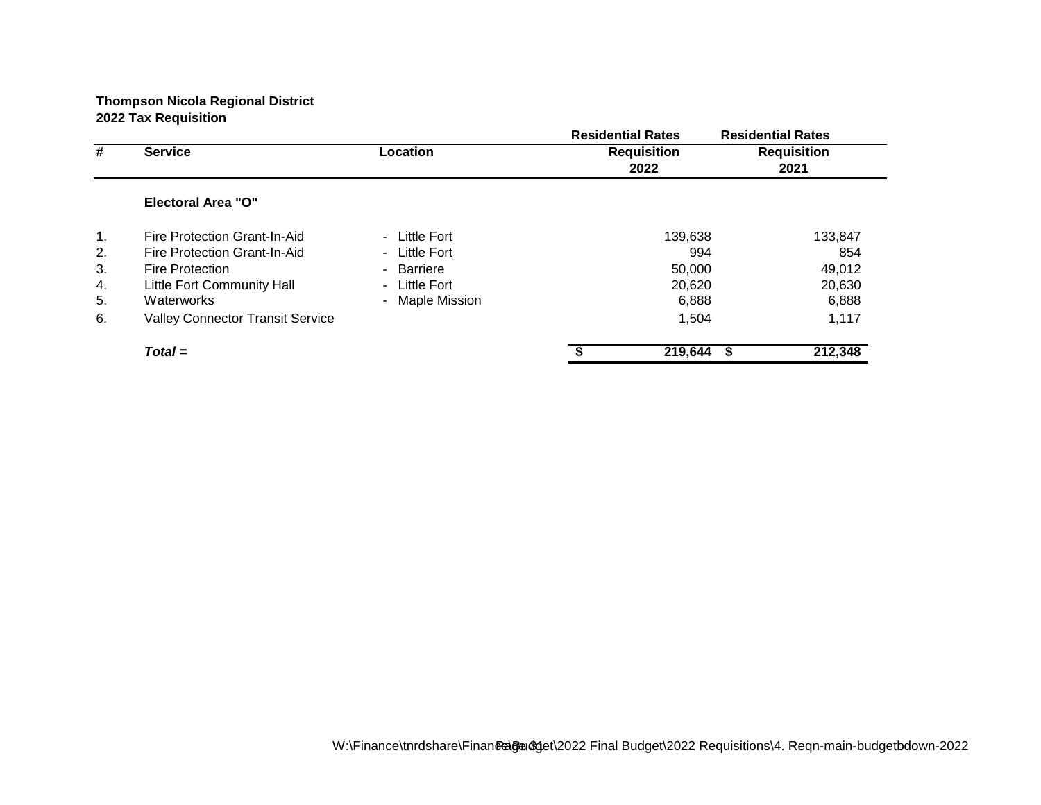|                |                                         |                               | <b>Residential Rates</b> | <b>Residential Rates</b> |
|----------------|-----------------------------------------|-------------------------------|--------------------------|--------------------------|
| #              | <b>Service</b>                          | Location                      | <b>Requisition</b>       | <b>Requisition</b>       |
|                |                                         |                               | 2022                     | 2021                     |
|                | <b>Electoral Area "O"</b>               |                               |                          |                          |
| $\mathbf{1}$ . | Fire Protection Grant-In-Aid            | Little Fort<br>$\sim$         | 139,638                  | 133,847                  |
| 2.             | Fire Protection Grant-In-Aid            | Little Fort<br>$\blacksquare$ |                          | 994<br>854               |
| 3.             | <b>Fire Protection</b>                  | Barriere<br>$\blacksquare$    | 50,000                   | 49,012                   |
| 4.             | <b>Little Fort Community Hall</b>       | Little Fort<br>$\sim$         | 20,620                   | 20,630                   |
| 5.             | Waterworks                              | <b>Maple Mission</b>          | 6,888                    | 6,888                    |
| 6.             | <b>Valley Connector Transit Service</b> |                               | 1,504                    | 1,117                    |
|                | $Total =$                               |                               | 219,644                  | 212,348<br>S             |